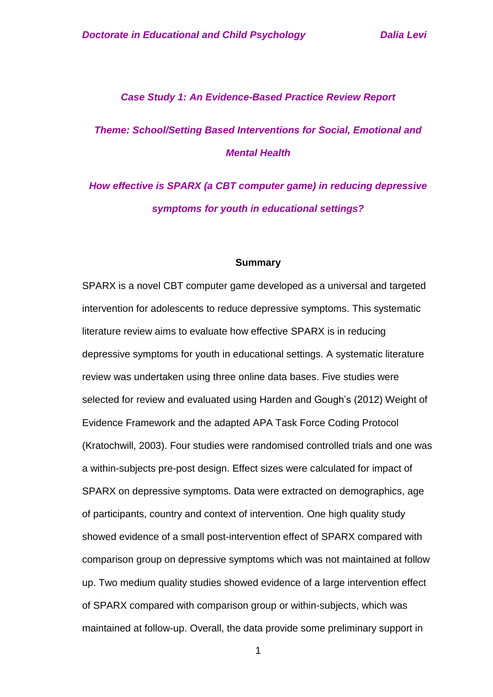#### *Case Study 1: An Evidence-Based Practice Review Report*

# *Theme: School/Setting Based Interventions for Social, Emotional and Mental Health*

# *How effective is SPARX (a CBT computer game) in reducing depressive symptoms for youth in educational settings?*

#### **Summary**

SPARX is a novel CBT computer game developed as a universal and targeted intervention for adolescents to reduce depressive symptoms. This systematic literature review aims to evaluate how effective SPARX is in reducing depressive symptoms for youth in educational settings. A systematic literature review was undertaken using three online data bases. Five studies were selected for review and evaluated using Harden and Gough's (2012) Weight of Evidence Framework and the adapted APA Task Force Coding Protocol (Kratochwill, 2003). Four studies were randomised controlled trials and one was a within-subjects pre-post design. Effect sizes were calculated for impact of SPARX on depressive symptoms. Data were extracted on demographics, age of participants, country and context of intervention. One high quality study showed evidence of a small post-intervention effect of SPARX compared with comparison group on depressive symptoms which was not maintained at follow up. Two medium quality studies showed evidence of a large intervention effect of SPARX compared with comparison group or within-subjects, which was maintained at follow-up. Overall, the data provide some preliminary support in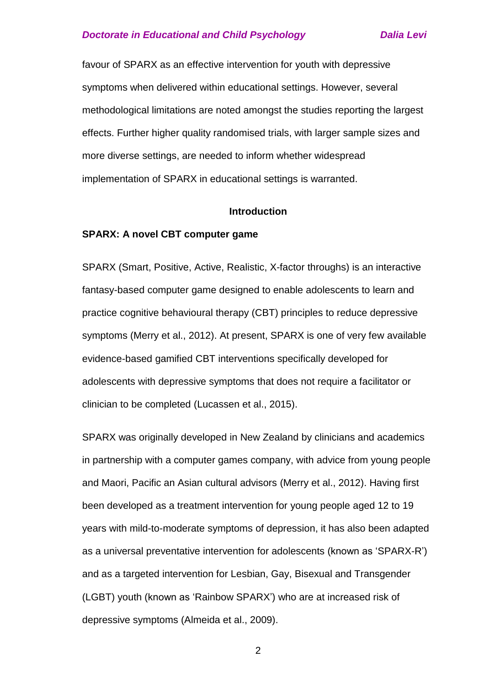favour of SPARX as an effective intervention for youth with depressive symptoms when delivered within educational settings. However, several methodological limitations are noted amongst the studies reporting the largest effects. Further higher quality randomised trials, with larger sample sizes and more diverse settings, are needed to inform whether widespread implementation of SPARX in educational settings is warranted.

#### **Introduction**

#### **SPARX: A novel CBT computer game**

SPARX (Smart, Positive, Active, Realistic, X-factor throughs) is an interactive fantasy-based computer game designed to enable adolescents to learn and practice cognitive behavioural therapy (CBT) principles to reduce depressive symptoms (Merry et al., 2012). At present, SPARX is one of very few available evidence-based gamified CBT interventions specifically developed for adolescents with depressive symptoms that does not require a facilitator or clinician to be completed (Lucassen et al., 2015).

SPARX was originally developed in New Zealand by clinicians and academics in partnership with a computer games company, with advice from young people and Maori, Pacific an Asian cultural advisors (Merry et al., 2012). Having first been developed as a treatment intervention for young people aged 12 to 19 years with mild-to-moderate symptoms of depression, it has also been adapted as a universal preventative intervention for adolescents (known as 'SPARX-R') and as a targeted intervention for Lesbian, Gay, Bisexual and Transgender (LGBT) youth (known as 'Rainbow SPARX') who are at increased risk of depressive symptoms (Almeida et al., 2009).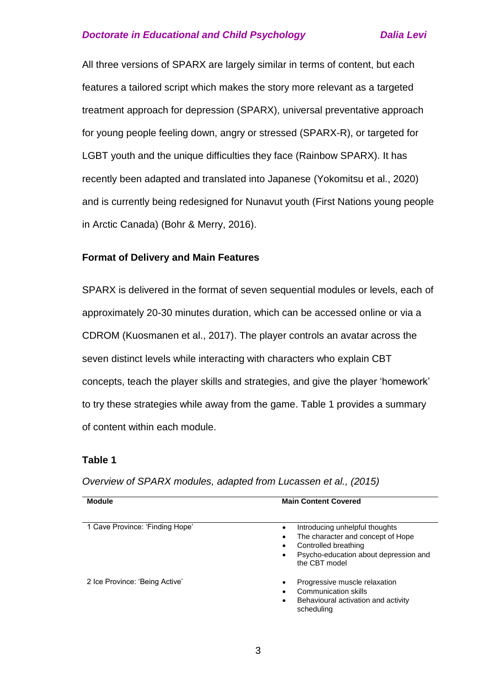All three versions of SPARX are largely similar in terms of content, but each features a tailored script which makes the story more relevant as a targeted treatment approach for depression (SPARX), universal preventative approach for young people feeling down, angry or stressed (SPARX-R), or targeted for LGBT youth and the unique difficulties they face (Rainbow SPARX). It has recently been adapted and translated into Japanese (Yokomitsu et al., 2020) and is currently being redesigned for Nunavut youth (First Nations young people in Arctic Canada) (Bohr & Merry, 2016).

#### **Format of Delivery and Main Features**

SPARX is delivered in the format of seven sequential modules or levels, each of approximately 20-30 minutes duration, which can be accessed online or via a CDROM (Kuosmanen et al., 2017). The player controls an avatar across the seven distinct levels while interacting with characters who explain CBT concepts, teach the player skills and strategies, and give the player 'homework' to try these strategies while away from the game. Table 1 provides a summary of content within each module.

#### **Table 1**

**Module Main Content Covered** 1 Cave Province: 'Finding Hope' **Introducing unhelpful thoughts**  The character and concept of Hope Controlled breathing Psycho-education about depression and the CBT model 2 Ice Province: 'Being Active' **Progressive muscle relaxation Progressive muscle relaxation**  Communication skills Behavioural activation and activity scheduling

*Overview of SPARX modules, adapted from Lucassen et al., (2015)*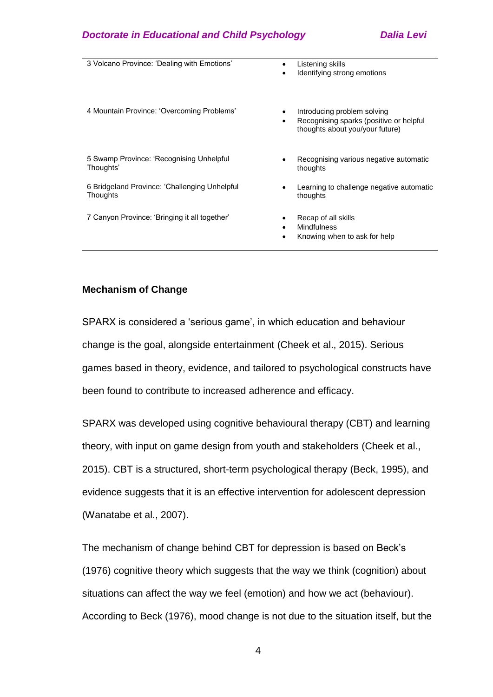| 3 Volcano Province: 'Dealing with Emotions'               | Listening skills<br>$\bullet$<br>Identifying strong emotions                                                   |
|-----------------------------------------------------------|----------------------------------------------------------------------------------------------------------------|
| 4 Mountain Province: 'Overcoming Problems'                | Introducing problem solving<br>Recognising sparks (positive or helpful<br>٠<br>thoughts about you/your future) |
| 5 Swamp Province: 'Recognising Unhelpful<br>Thoughts'     | Recognising various negative automatic<br>thoughts                                                             |
| 6 Bridgeland Province: 'Challenging Unhelpful<br>Thoughts | Learning to challenge negative automatic<br>thoughts                                                           |
| 7 Canyon Province: 'Bringing it all together'             | Recap of all skills<br>Mindfulness<br>Knowing when to ask for help<br>$\bullet$                                |

# **Mechanism of Change**

SPARX is considered a 'serious game', in which education and behaviour change is the goal, alongside entertainment (Cheek et al., 2015). Serious games based in theory, evidence, and tailored to psychological constructs have been found to contribute to increased adherence and efficacy.

SPARX was developed using cognitive behavioural therapy (CBT) and learning theory, with input on game design from youth and stakeholders (Cheek et al., 2015). CBT is a structured, short-term psychological therapy (Beck, 1995), and evidence suggests that it is an effective intervention for adolescent depression (Wanatabe et al., 2007).

The mechanism of change behind CBT for depression is based on Beck's (1976) cognitive theory which suggests that the way we think (cognition) about situations can affect the way we feel (emotion) and how we act (behaviour). According to Beck (1976), mood change is not due to the situation itself, but the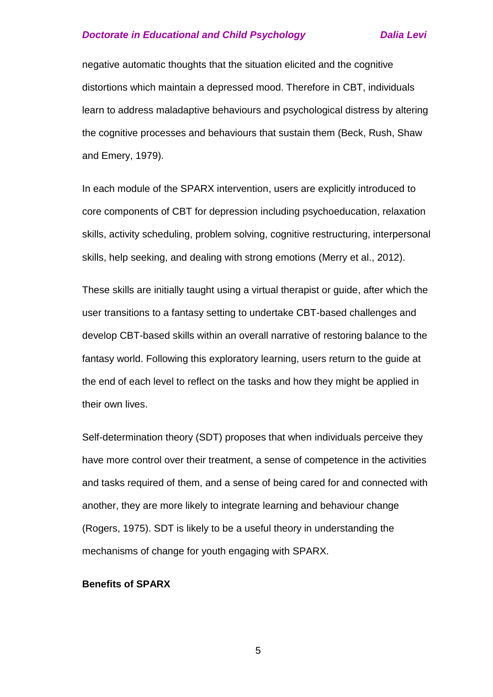negative automatic thoughts that the situation elicited and the cognitive distortions which maintain a depressed mood. Therefore in CBT, individuals learn to address maladaptive behaviours and psychological distress by altering the cognitive processes and behaviours that sustain them (Beck, Rush, Shaw and Emery, 1979).

In each module of the SPARX intervention, users are explicitly introduced to core components of CBT for depression including psychoeducation, relaxation skills, activity scheduling, problem solving, cognitive restructuring, interpersonal skills, help seeking, and dealing with strong emotions (Merry et al., 2012).

These skills are initially taught using a virtual therapist or guide, after which the user transitions to a fantasy setting to undertake CBT-based challenges and develop CBT-based skills within an overall narrative of restoring balance to the fantasy world. Following this exploratory learning, users return to the guide at the end of each level to reflect on the tasks and how they might be applied in their own lives.

Self-determination theory (SDT) proposes that when individuals perceive they have more control over their treatment, a sense of competence in the activities and tasks required of them, and a sense of being cared for and connected with another, they are more likely to integrate learning and behaviour change (Rogers, 1975). SDT is likely to be a useful theory in understanding the mechanisms of change for youth engaging with SPARX.

# **Benefits of SPARX**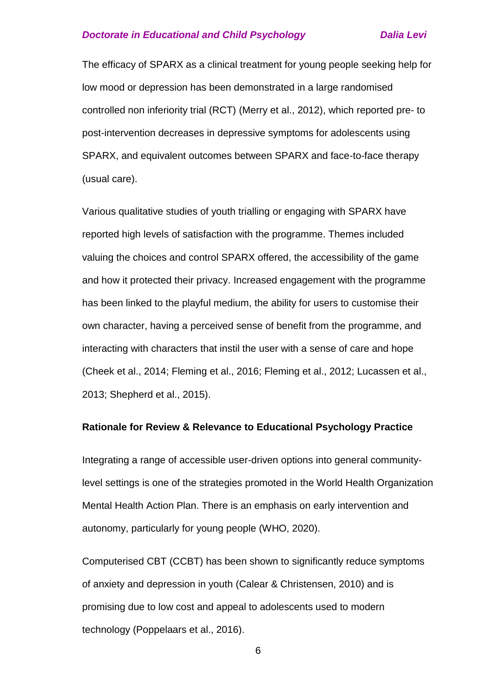The efficacy of SPARX as a clinical treatment for young people seeking help for low mood or depression has been demonstrated in a large randomised controlled non inferiority trial (RCT) (Merry et al., 2012), which reported pre- to post-intervention decreases in depressive symptoms for adolescents using SPARX, and equivalent outcomes between SPARX and face-to-face therapy (usual care).

Various qualitative studies of youth trialling or engaging with SPARX have reported high levels of satisfaction with the programme. Themes included valuing the choices and control SPARX offered, the accessibility of the game and how it protected their privacy. Increased engagement with the programme has been linked to the playful medium, the ability for users to customise their own character, having a perceived sense of benefit from the programme, and interacting with characters that instil the user with a sense of care and hope (Cheek et al., 2014; Fleming et al., 2016; Fleming et al., 2012; Lucassen et al., 2013; Shepherd et al., 2015).

#### **Rationale for Review & Relevance to Educational Psychology Practice**

Integrating a range of accessible user-driven options into general communitylevel settings is one of the strategies promoted in the World Health Organization Mental Health Action Plan. There is an emphasis on early intervention and autonomy, particularly for young people (WHO, 2020).

Computerised CBT (CCBT) has been shown to significantly reduce symptoms of anxiety and depression in youth (Calear & Christensen, 2010) and is promising due to low cost and appeal to adolescents used to modern technology (Poppelaars et al., 2016).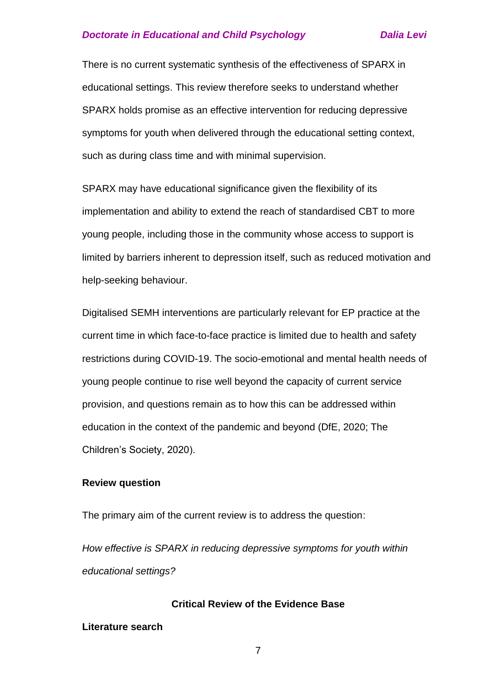There is no current systematic synthesis of the effectiveness of SPARX in educational settings. This review therefore seeks to understand whether SPARX holds promise as an effective intervention for reducing depressive symptoms for youth when delivered through the educational setting context, such as during class time and with minimal supervision.

SPARX may have educational significance given the flexibility of its implementation and ability to extend the reach of standardised CBT to more young people, including those in the community whose access to support is limited by barriers inherent to depression itself, such as reduced motivation and help-seeking behaviour.

Digitalised SEMH interventions are particularly relevant for EP practice at the current time in which face-to-face practice is limited due to health and safety restrictions during COVID-19. The socio-emotional and mental health needs of young people continue to rise well beyond the capacity of current service provision, and questions remain as to how this can be addressed within education in the context of the pandemic and beyond (DfE, 2020; The Children's Society, 2020).

#### **Review question**

The primary aim of the current review is to address the question:

*How effective is SPARX in reducing depressive symptoms for youth within educational settings?*

#### **Critical Review of the Evidence Base**

#### **Literature search**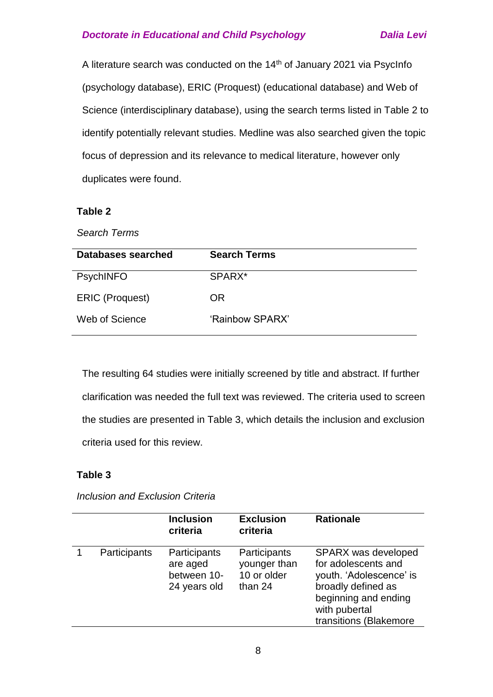A literature search was conducted on the 14<sup>th</sup> of January 2021 via PsycInfo (psychology database), ERIC (Proquest) (educational database) and Web of Science (interdisciplinary database), using the search terms listed in Table 2 to identify potentially relevant studies. Medline was also searched given the topic focus of depression and its relevance to medical literature, however only duplicates were found.

### **Table 2**

*Search Terms*

| Databases searched     | <b>Search Terms</b> |
|------------------------|---------------------|
| <b>PsychINFO</b>       | SPARX*              |
| <b>ERIC (Proquest)</b> | OR.                 |
| Web of Science         | 'Rainbow SPARX'     |

The resulting 64 studies were initially screened by title and abstract. If further clarification was needed the full text was reviewed. The criteria used to screen the studies are presented in Table 3, which details the inclusion and exclusion criteria used for this review.

#### **Table 3**

*Inclusion and Exclusion Criteria*

|              | <b>Inclusion</b><br>criteria                            | <b>Exclusion</b><br>criteria                           | <b>Rationale</b>                                                                                                                                                      |
|--------------|---------------------------------------------------------|--------------------------------------------------------|-----------------------------------------------------------------------------------------------------------------------------------------------------------------------|
| Participants | Participants<br>are aged<br>between 10-<br>24 years old | Participants<br>younger than<br>10 or older<br>than 24 | <b>SPARX</b> was developed<br>for adolescents and<br>youth. 'Adolescence' is<br>broadly defined as<br>beginning and ending<br>with pubertal<br>transitions (Blakemore |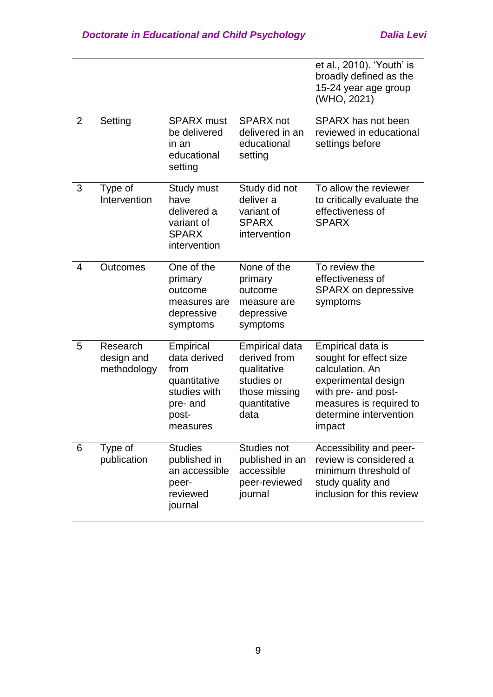|   |                                       |                                                                                                    |                                                                                                      | et al., 2010). 'Youth' is<br>broadly defined as the<br>15-24 year age group<br>(WHO, 2021)                                                                                  |
|---|---------------------------------------|----------------------------------------------------------------------------------------------------|------------------------------------------------------------------------------------------------------|-----------------------------------------------------------------------------------------------------------------------------------------------------------------------------|
| 2 | Setting                               | <b>SPARX</b> must<br>be delivered<br>in an<br>educational<br>setting                               | <b>SPARX</b> not<br>delivered in an<br>educational<br>setting                                        | SPARX has not been<br>reviewed in educational<br>settings before                                                                                                            |
| 3 | Type of<br>Intervention               | Study must<br>have<br>delivered a<br>variant of<br><b>SPARX</b><br>intervention                    | Study did not<br>deliver a<br>variant of<br><b>SPARX</b><br>intervention                             | To allow the reviewer<br>to critically evaluate the<br>effectiveness of<br><b>SPARX</b>                                                                                     |
| 4 | Outcomes                              | One of the<br>primary<br>outcome<br>measures are<br>depressive<br>symptoms                         | None of the<br>primary<br>outcome<br>measure are<br>depressive<br>symptoms                           | To review the<br>effectiveness of<br><b>SPARX</b> on depressive<br>symptoms                                                                                                 |
| 5 | Research<br>design and<br>methodology | Empirical<br>data derived<br>from<br>quantitative<br>studies with<br>pre- and<br>post-<br>measures | Empirical data<br>derived from<br>qualitative<br>studies or<br>those missing<br>quantitative<br>data | Empirical data is<br>sought for effect size<br>calculation. An<br>experimental design<br>with pre- and post-<br>measures is required to<br>determine intervention<br>impact |
| 6 | Type of<br>publication                | <b>Studies</b><br>published in<br>an accessible<br>peer-<br>reviewed<br>journal                    | Studies not<br>published in an<br>accessible<br>peer-reviewed<br>journal                             | Accessibility and peer-<br>review is considered a<br>minimum threshold of<br>study quality and<br>inclusion for this review                                                 |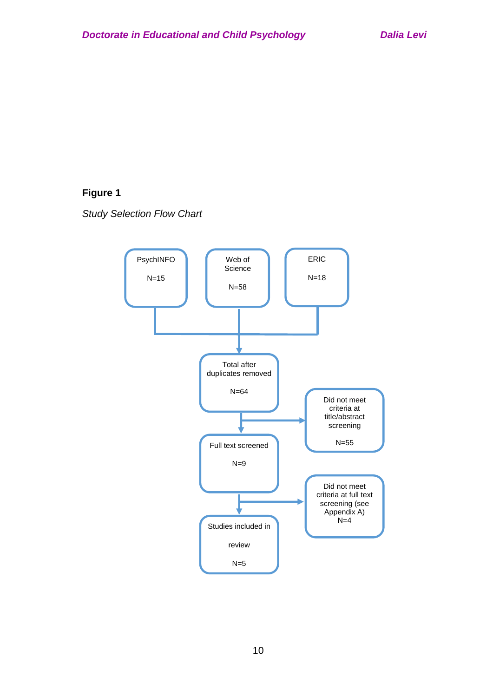# **Figure 1**

*Study Selection Flow Chart*

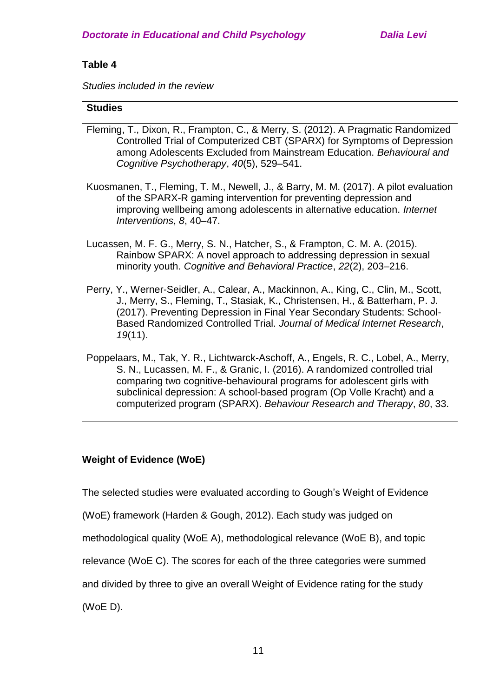# **Table 4**

*Studies included in the review*

# **Studies**

- Fleming, T., Dixon, R., Frampton, C., & Merry, S. (2012). A Pragmatic Randomized Controlled Trial of Computerized CBT (SPARX) for Symptoms of Depression among Adolescents Excluded from Mainstream Education. *Behavioural and Cognitive Psychotherapy*, *40*(5), 529–541.
- Kuosmanen, T., Fleming, T. M., Newell, J., & Barry, M. M. (2017). A pilot evaluation of the SPARX-R gaming intervention for preventing depression and improving wellbeing among adolescents in alternative education. *Internet Interventions*, *8*, 40–47.
- Lucassen, M. F. G., Merry, S. N., Hatcher, S., & Frampton, C. M. A. (2015). Rainbow SPARX: A novel approach to addressing depression in sexual minority youth. *Cognitive and Behavioral Practice*, *22*(2), 203–216.
- Perry, Y., Werner-Seidler, A., Calear, A., Mackinnon, A., King, C., Clin, M., Scott, J., Merry, S., Fleming, T., Stasiak, K., Christensen, H., & Batterham, P. J. (2017). Preventing Depression in Final Year Secondary Students: School-Based Randomized Controlled Trial. *Journal of Medical Internet Research*, *19*(11).
- Poppelaars, M., Tak, Y. R., Lichtwarck-Aschoff, A., Engels, R. C., Lobel, A., Merry, S. N., Lucassen, M. F., & Granic, I. (2016). A randomized controlled trial comparing two cognitive-behavioural programs for adolescent girls with subclinical depression: A school-based program (Op Volle Kracht) and a computerized program (SPARX). *Behaviour Research and Therapy*, *80*, 33.

# **Weight of Evidence (WoE)**

The selected studies were evaluated according to Gough's Weight of Evidence

(WoE) framework (Harden & Gough, 2012). Each study was judged on

methodological quality (WoE A), methodological relevance (WoE B), and topic

relevance (WoE C). The scores for each of the three categories were summed

and divided by three to give an overall Weight of Evidence rating for the study

(WoE D).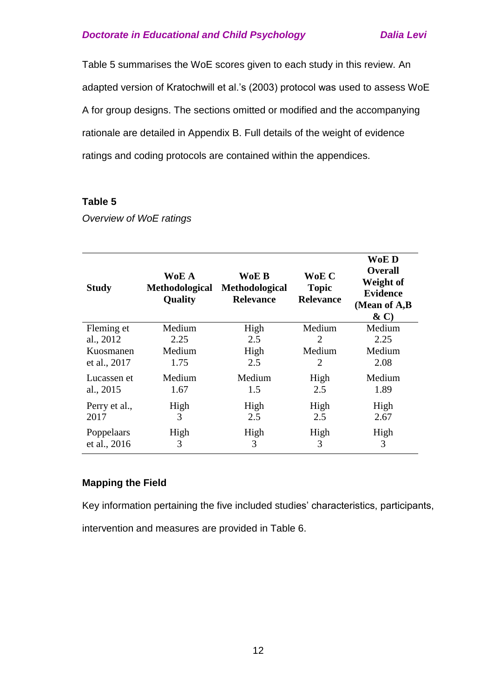Table 5 summarises the WoE scores given to each study in this review. An adapted version of Kratochwill et al.'s (2003) protocol was used to assess WoE A for group designs. The sections omitted or modified and the accompanying rationale are detailed in Appendix B. Full details of the weight of evidence ratings and coding protocols are contained within the appendices.

#### **Table 5**

*Overview of WoE ratings*

| <b>Study</b>  | WoE A<br>Methodological<br><b>Quality</b> | WoE B<br>Methodological<br><b>Relevance</b> | WoE C<br><b>Topic</b><br><b>Relevance</b> | WoE D<br><b>Overall</b><br>Weight of<br><b>Evidence</b><br>(Mean of A,B<br>$\& C)$ |
|---------------|-------------------------------------------|---------------------------------------------|-------------------------------------------|------------------------------------------------------------------------------------|
| Fleming et    | Medium                                    | High                                        | Medium                                    | Medium                                                                             |
| al., 2012     | 2.25                                      | 2.5                                         | $\mathcal{D}_{\mathcal{L}}$               | 2.25                                                                               |
| Kuosmanen     | Medium                                    | High                                        | Medium                                    | Medium                                                                             |
| et al., 2017  | 1.75                                      | 2.5                                         | 2                                         | 2.08                                                                               |
| Lucassen et   | Medium                                    | Medium                                      | High                                      | Medium                                                                             |
| al., 2015     | 1.67                                      | 1.5                                         | 2.5                                       | 1.89                                                                               |
| Perry et al., | High                                      | High                                        | High                                      | High                                                                               |
| 2017          | 3                                         | 2.5                                         | 2.5                                       | 2.67                                                                               |
| Poppelaars    | High                                      | High                                        | High                                      | High                                                                               |
| et al., 2016  | 3                                         | 3                                           | 3                                         | 3                                                                                  |

#### **Mapping the Field**

Key information pertaining the five included studies' characteristics, participants, intervention and measures are provided in Table 6.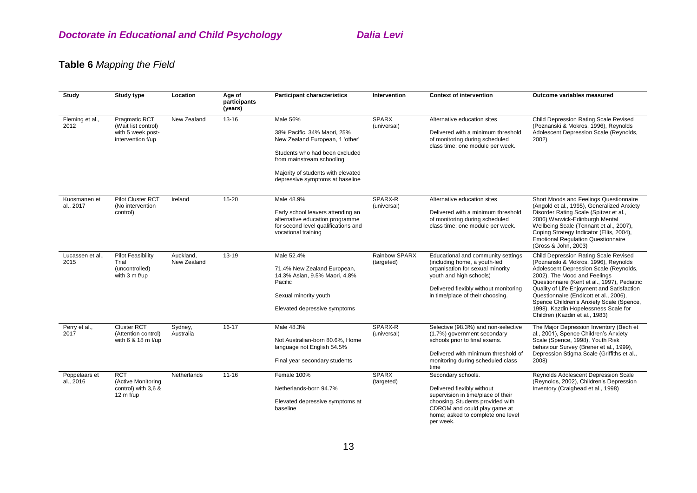# **Table 6** *Mapping the Field*

| <b>Study</b>               | <b>Study type</b>                                                                     | Location                 | Age of<br>participants<br>(years) | <b>Participant characteristics</b>                                                                                                                                                                                 | Intervention                | <b>Context of intervention</b>                                                                                                                                                                                 | Outcome variables measured                                                                                                                                                                                                                                                                                                                                                                                            |
|----------------------------|---------------------------------------------------------------------------------------|--------------------------|-----------------------------------|--------------------------------------------------------------------------------------------------------------------------------------------------------------------------------------------------------------------|-----------------------------|----------------------------------------------------------------------------------------------------------------------------------------------------------------------------------------------------------------|-----------------------------------------------------------------------------------------------------------------------------------------------------------------------------------------------------------------------------------------------------------------------------------------------------------------------------------------------------------------------------------------------------------------------|
| Fleming et al.,<br>2012    | <b>Pragmatic RCT</b><br>(Wait list control)<br>with 5 week post-<br>intervention f/up | New Zealand              | $13 - 16$                         | Male 56%<br>38% Pacific, 34% Maori, 25%<br>New Zealand European, 1 'other'<br>Students who had been excluded<br>from mainstream schooling<br>Majority of students with elevated<br>depressive symptoms at baseline | <b>SPARX</b><br>(universal) | Alternative education sites<br>Delivered with a minimum threshold<br>of monitoring during scheduled<br>class time; one module per week.                                                                        | Child Depression Rating Scale Revised<br>(Poznanski & Mokros, 1996), Reynolds<br>Adolescent Depression Scale (Reynolds,<br>2002)                                                                                                                                                                                                                                                                                      |
| Kuosmanen et<br>al., 2017  | <b>Pilot Cluster RCT</b><br>(No intervention<br>control)                              | Ireland                  | $15 - 20$                         | Male 48.9%<br>Early school leavers attending an<br>alternative education programme<br>for second level qualifications and<br>vocational training                                                                   | SPARX-R<br>(universal)      | Alternative education sites<br>Delivered with a minimum threshold<br>of monitoring during scheduled<br>class time; one module per week.                                                                        | Short Moods and Feelings Questionnaire<br>(Angold et al., 1995), Generalized Anxiety<br>Disorder Rating Scale (Spitzer et al.,<br>2006), Warwick-Edinburgh Mental<br>Wellbeing Scale (Tennant et al., 2007),<br>Coping Strategy Indicator (Ellis, 2004),<br><b>Emotional Regulation Questionnaire</b><br>(Gross & John, 2003)                                                                                         |
| Lucassen et al.,<br>2015   | <b>Pilot Feasibility</b><br>Trial<br>(uncontrolled)<br>with 3 m f/up                  | Auckland,<br>New Zealand | 13-19                             | Male 52.4%<br>71.4% New Zealand European,<br>14.3% Asian, 9.5% Maori, 4.8%<br>Pacific<br>Sexual minority youth<br>Elevated depressive symptoms                                                                     | Rainbow SPARX<br>(targeted) | Educational and community settings<br>(including home, a youth-led<br>organisation for sexual minority<br>youth and high schools)<br>Delivered flexibly without monitoring<br>in time/place of their choosing. | Child Depression Rating Scale Revised<br>(Poznanski & Mokros, 1996), Reynolds<br>Adolescent Depression Scale (Reynolds,<br>2002), The Mood and Feelings<br>Questionnaire (Kent et al., 1997), Pediatric<br>Quality of Life Enjoyment and Satisfaction<br>Questionnaire (Endicott et al., 2006),<br>Spence Children's Anxiety Scale (Spence,<br>1998), Kazdin Hopelessness Scale for<br>Children (Kazdin et al., 1983) |
| Perry et al.,<br>2017      | <b>Cluster RCT</b><br>(Attention control)<br>with 6 & 18 m f/up                       | Sydney,<br>Australia     | $16 - 17$                         | Male 48.3%<br>Not Australian-born 80.6%, Home<br>language not English 54.5%<br>Final year secondary students                                                                                                       | SPARX-R<br>(universal)      | Selective (98.3%) and non-selective<br>(1.7%) government secondary<br>schools prior to final exams.<br>Delivered with minimum threshold of<br>monitoring during scheduled class<br>time                        | The Major Depression Inventory (Bech et<br>al., 2001), Spence Children's Anxiety<br>Scale (Spence, 1998), Youth Risk<br>behaviour Survey (Brener et al., 1999),<br>Depression Stigma Scale (Griffiths et al.,<br>2008)                                                                                                                                                                                                |
| Poppelaars et<br>al., 2016 | <b>RCT</b><br>(Active Monitoring<br>control) with 3,6 &<br>$12 \text{ m}$ f/up        | Netherlands              | $11 - 16$                         | Female 100%<br>Netherlands-born 94.7%<br>Elevated depressive symptoms at<br>baseline                                                                                                                               | <b>SPARX</b><br>(targeted)  | Secondary schools.<br>Delivered flexibly without<br>supervision in time/place of their<br>choosing. Students provided with<br>CDROM and could play game at<br>home; asked to complete one level<br>per week.   | Reynolds Adolescent Depression Scale<br>(Reynolds, 2002), Children's Depression<br>Inventory (Craighead et al., 1998)                                                                                                                                                                                                                                                                                                 |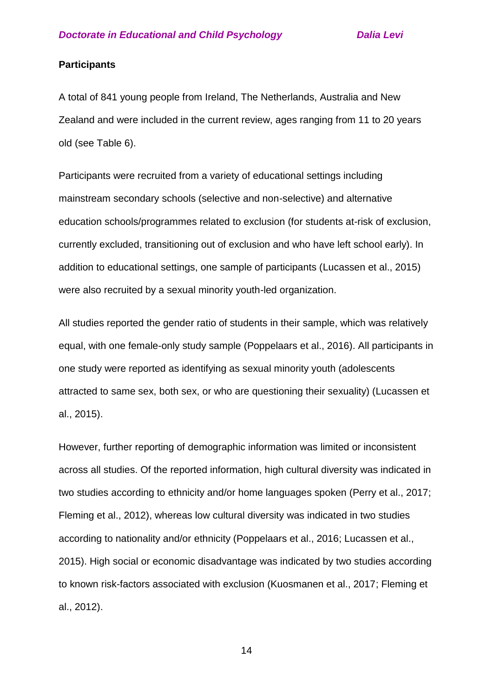#### **Participants**

A total of 841 young people from Ireland, The Netherlands, Australia and New Zealand and were included in the current review, ages ranging from 11 to 20 years old (see Table 6).

Participants were recruited from a variety of educational settings including mainstream secondary schools (selective and non-selective) and alternative education schools/programmes related to exclusion (for students at-risk of exclusion, currently excluded, transitioning out of exclusion and who have left school early). In addition to educational settings, one sample of participants (Lucassen et al., 2015) were also recruited by a sexual minority youth-led organization.

All studies reported the gender ratio of students in their sample, which was relatively equal, with one female-only study sample (Poppelaars et al., 2016). All participants in one study were reported as identifying as sexual minority youth (adolescents attracted to same sex, both sex, or who are questioning their sexuality) (Lucassen et al., 2015).

However, further reporting of demographic information was limited or inconsistent across all studies. Of the reported information, high cultural diversity was indicated in two studies according to ethnicity and/or home languages spoken (Perry et al., 2017; Fleming et al., 2012), whereas low cultural diversity was indicated in two studies according to nationality and/or ethnicity (Poppelaars et al., 2016; Lucassen et al., 2015). High social or economic disadvantage was indicated by two studies according to known risk-factors associated with exclusion (Kuosmanen et al., 2017; Fleming et al., 2012).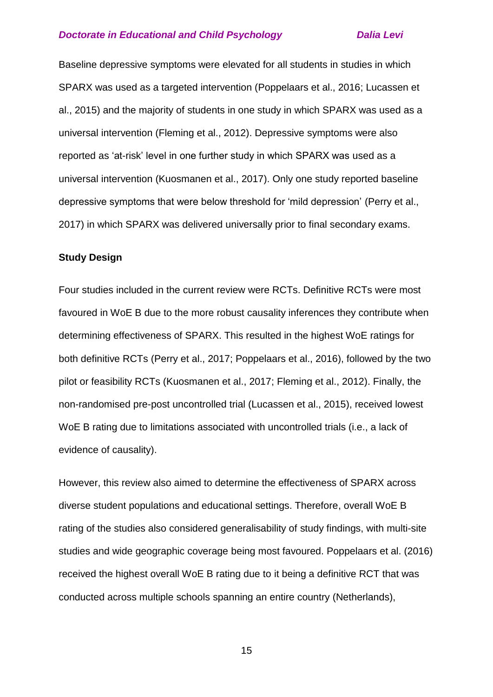Baseline depressive symptoms were elevated for all students in studies in which SPARX was used as a targeted intervention (Poppelaars et al., 2016; Lucassen et al., 2015) and the majority of students in one study in which SPARX was used as a universal intervention (Fleming et al., 2012). Depressive symptoms were also reported as 'at-risk' level in one further study in which SPARX was used as a universal intervention (Kuosmanen et al., 2017). Only one study reported baseline depressive symptoms that were below threshold for 'mild depression' (Perry et al., 2017) in which SPARX was delivered universally prior to final secondary exams.

#### **Study Design**

Four studies included in the current review were RCTs. Definitive RCTs were most favoured in WoE B due to the more robust causality inferences they contribute when determining effectiveness of SPARX. This resulted in the highest WoE ratings for both definitive RCTs (Perry et al., 2017; Poppelaars et al., 2016), followed by the two pilot or feasibility RCTs (Kuosmanen et al., 2017; Fleming et al., 2012). Finally, the non-randomised pre-post uncontrolled trial (Lucassen et al., 2015), received lowest WoE B rating due to limitations associated with uncontrolled trials (i.e., a lack of evidence of causality).

However, this review also aimed to determine the effectiveness of SPARX across diverse student populations and educational settings. Therefore, overall WoE B rating of the studies also considered generalisability of study findings, with multi-site studies and wide geographic coverage being most favoured. Poppelaars et al. (2016) received the highest overall WoE B rating due to it being a definitive RCT that was conducted across multiple schools spanning an entire country (Netherlands),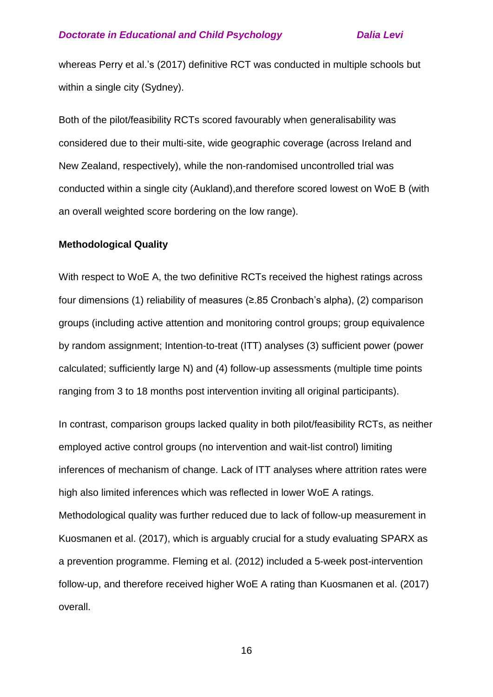whereas Perry et al.'s (2017) definitive RCT was conducted in multiple schools but within a single city (Sydney).

Both of the pilot/feasibility RCTs scored favourably when generalisability was considered due to their multi-site, wide geographic coverage (across Ireland and New Zealand, respectively), while the non-randomised uncontrolled trial was conducted within a single city (Aukland),and therefore scored lowest on WoE B (with an overall weighted score bordering on the low range).

#### **Methodological Quality**

With respect to WoE A, the two definitive RCTs received the highest ratings across four dimensions (1) reliability of measures (≥.85 Cronbach's alpha), (2) comparison groups (including active attention and monitoring control groups; group equivalence by random assignment; Intention-to-treat (ITT) analyses (3) sufficient power (power calculated; sufficiently large N) and (4) follow-up assessments (multiple time points ranging from 3 to 18 months post intervention inviting all original participants).

In contrast, comparison groups lacked quality in both pilot/feasibility RCTs, as neither employed active control groups (no intervention and wait-list control) limiting inferences of mechanism of change. Lack of ITT analyses where attrition rates were high also limited inferences which was reflected in lower WoE A ratings. Methodological quality was further reduced due to lack of follow-up measurement in Kuosmanen et al. (2017), which is arguably crucial for a study evaluating SPARX as a prevention programme. Fleming et al. (2012) included a 5-week post-intervention follow-up, and therefore received higher WoE A rating than Kuosmanen et al. (2017) overall.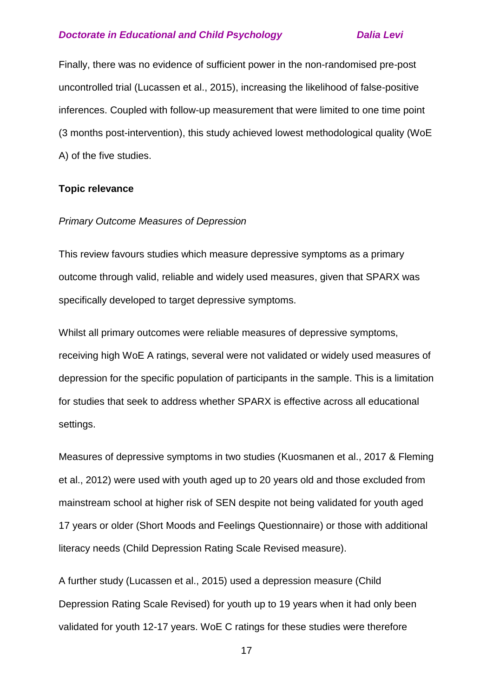Finally, there was no evidence of sufficient power in the non-randomised pre-post uncontrolled trial (Lucassen et al., 2015), increasing the likelihood of false-positive inferences. Coupled with follow-up measurement that were limited to one time point (3 months post-intervention), this study achieved lowest methodological quality (WoE A) of the five studies.

#### **Topic relevance**

#### *Primary Outcome Measures of Depression*

This review favours studies which measure depressive symptoms as a primary outcome through valid, reliable and widely used measures, given that SPARX was specifically developed to target depressive symptoms.

Whilst all primary outcomes were reliable measures of depressive symptoms, receiving high WoE A ratings, several were not validated or widely used measures of depression for the specific population of participants in the sample. This is a limitation for studies that seek to address whether SPARX is effective across all educational settings.

Measures of depressive symptoms in two studies (Kuosmanen et al., 2017 & Fleming et al., 2012) were used with youth aged up to 20 years old and those excluded from mainstream school at higher risk of SEN despite not being validated for youth aged 17 years or older (Short Moods and Feelings Questionnaire) or those with additional literacy needs (Child Depression Rating Scale Revised measure).

A further study (Lucassen et al., 2015) used a depression measure (Child Depression Rating Scale Revised) for youth up to 19 years when it had only been validated for youth 12-17 years. WoE C ratings for these studies were therefore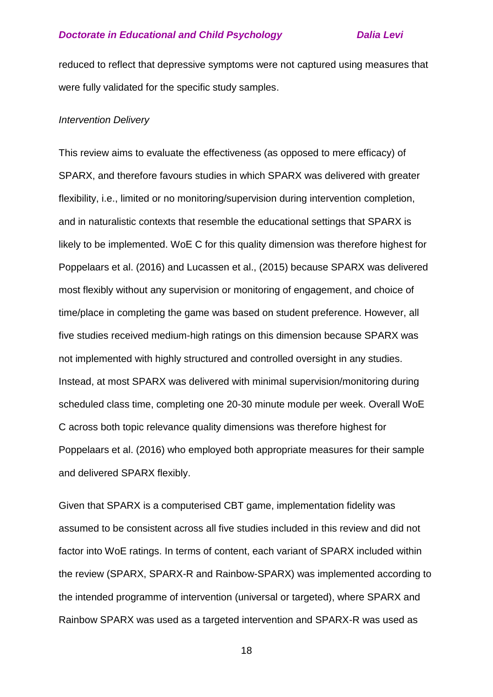reduced to reflect that depressive symptoms were not captured using measures that were fully validated for the specific study samples.

#### *Intervention Delivery*

This review aims to evaluate the effectiveness (as opposed to mere efficacy) of SPARX, and therefore favours studies in which SPARX was delivered with greater flexibility, i.e., limited or no monitoring/supervision during intervention completion, and in naturalistic contexts that resemble the educational settings that SPARX is likely to be implemented. WoE C for this quality dimension was therefore highest for Poppelaars et al. (2016) and Lucassen et al., (2015) because SPARX was delivered most flexibly without any supervision or monitoring of engagement, and choice of time/place in completing the game was based on student preference. However, all five studies received medium-high ratings on this dimension because SPARX was not implemented with highly structured and controlled oversight in any studies. Instead, at most SPARX was delivered with minimal supervision/monitoring during scheduled class time, completing one 20-30 minute module per week. Overall WoE C across both topic relevance quality dimensions was therefore highest for Poppelaars et al. (2016) who employed both appropriate measures for their sample and delivered SPARX flexibly.

Given that SPARX is a computerised CBT game, implementation fidelity was assumed to be consistent across all five studies included in this review and did not factor into WoE ratings. In terms of content, each variant of SPARX included within the review (SPARX, SPARX-R and Rainbow-SPARX) was implemented according to the intended programme of intervention (universal or targeted), where SPARX and Rainbow SPARX was used as a targeted intervention and SPARX-R was used as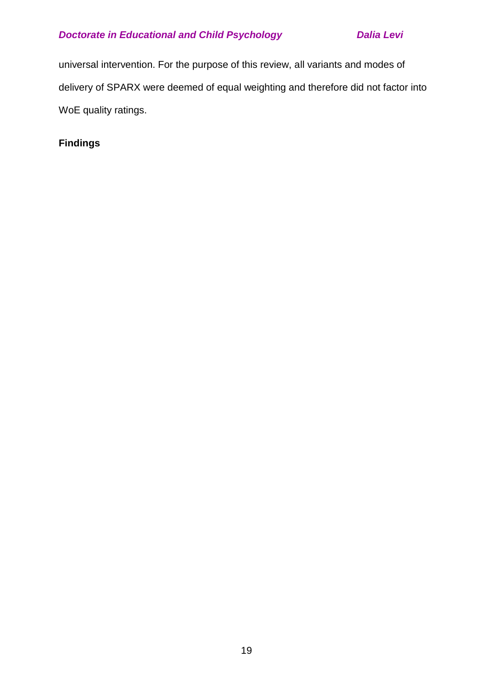universal intervention. For the purpose of this review, all variants and modes of delivery of SPARX were deemed of equal weighting and therefore did not factor into WoE quality ratings.

**Findings**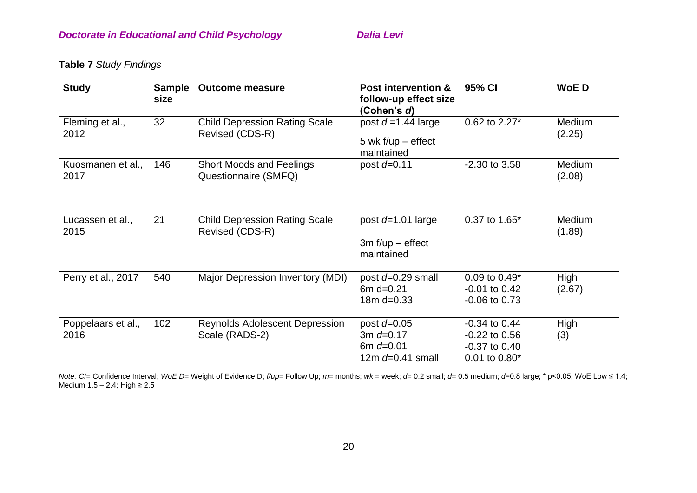**Table 7** *Study Findings*

| <b>Study</b>               | <b>Sample</b><br>size | <b>Outcome measure</b>                                  | <b>Post intervention &amp;</b><br>follow-up effect size<br>(Cohen's d)  | 95% CI                                                                       | <b>WoED</b>             |
|----------------------------|-----------------------|---------------------------------------------------------|-------------------------------------------------------------------------|------------------------------------------------------------------------------|-------------------------|
| Fleming et al.,<br>2012    | 32                    | <b>Child Depression Rating Scale</b><br>Revised (CDS-R) | post $d = 1.44$ large<br>5 wk $f/\psi$ – effect<br>maintained           | 0.62 to 2.27*                                                                | Medium<br>(2.25)        |
| Kuosmanen et al.,<br>2017  | 146                   | <b>Short Moods and Feelings</b><br>Questionnaire (SMFQ) | post $d=0.11$                                                           | -2.30 to 3.58                                                                | <b>Medium</b><br>(2.08) |
| Lucassen et al.,<br>2015   | 21                    | <b>Child Depression Rating Scale</b><br>Revised (CDS-R) | post $d=1.01$ large<br>$3m f/\psi$ – effect<br>maintained               | 0.37 to 1.65*                                                                | Medium<br>(1.89)        |
| Perry et al., 2017         | 540                   | Major Depression Inventory (MDI)                        | post $d=0.29$ small<br>6 $m$ d=0.21<br>$18m d = 0.33$                   | $0.09$ to $0.49*$<br>$-0.01$ to $0.42$<br>$-0.06$ to 0.73                    | High<br>(2.67)          |
| Poppelaars et al.,<br>2016 | 102                   | Reynolds Adolescent Depression<br>Scale (RADS-2)        | post $d=0.05$<br>3m $d = 0.17$<br>6m $d = 0.01$<br>12m $d = 0.41$ small | $-0.34$ to $0.44$<br>$-0.22$ to $0.56$<br>$-0.37$ to $0.40$<br>0.01 to 0.80* | High<br>(3)             |

*Note. CI=* Confidence Interval; *WoE D*= Weight of Evidence D; *f/up*= Follow Up; *m*= months; *wk* = week; *d*= 0.2 small; *d*= 0.5 medium; *d*=0.8 large; \* p<0.05; WoE Low ≤ 1.4; Medium 1.5 – 2.4; High ≥ 2.5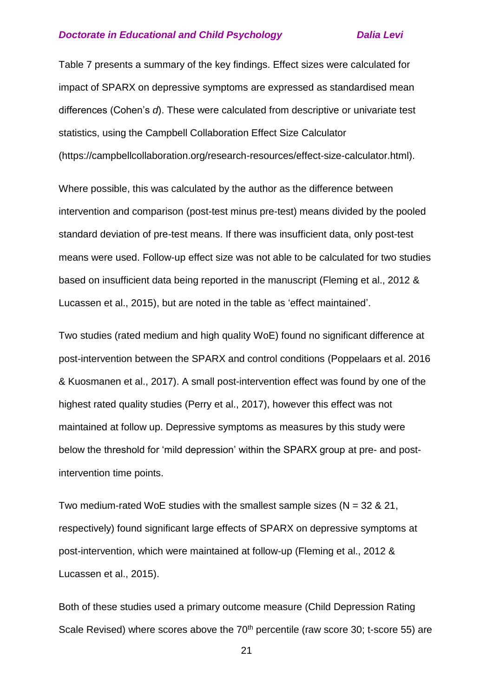Table 7 presents a summary of the key findings. Effect sizes were calculated for impact of SPARX on depressive symptoms are expressed as standardised mean differences (Cohen's *d*). These were calculated from descriptive or univariate test statistics, using the Campbell Collaboration Effect Size Calculator [\(https://campbellcollaboration.org/research-resources/effect-size-calculator.html\)](https://www.campbellcollaboration.org/research-resources/effect-size-calculator.html).

Where possible, this was calculated by the author as the difference between intervention and comparison (post-test minus pre-test) means divided by the pooled standard deviation of pre-test means. If there was insufficient data, only post-test means were used. Follow-up effect size was not able to be calculated for two studies based on insufficient data being reported in the manuscript (Fleming et al., 2012 & Lucassen et al., 2015), but are noted in the table as 'effect maintained'.

Two studies (rated medium and high quality WoE) found no significant difference at post-intervention between the SPARX and control conditions (Poppelaars et al. 2016 & Kuosmanen et al., 2017). A small post-intervention effect was found by one of the highest rated quality studies (Perry et al., 2017), however this effect was not maintained at follow up. Depressive symptoms as measures by this study were below the threshold for 'mild depression' within the SPARX group at pre- and postintervention time points.

Two medium-rated WoE studies with the smallest sample sizes ( $N = 32$  & 21, respectively) found significant large effects of SPARX on depressive symptoms at post-intervention, which were maintained at follow-up (Fleming et al., 2012 & Lucassen et al., 2015).

Both of these studies used a primary outcome measure (Child Depression Rating Scale Revised) where scores above the 70<sup>th</sup> percentile (raw score 30; t-score 55) are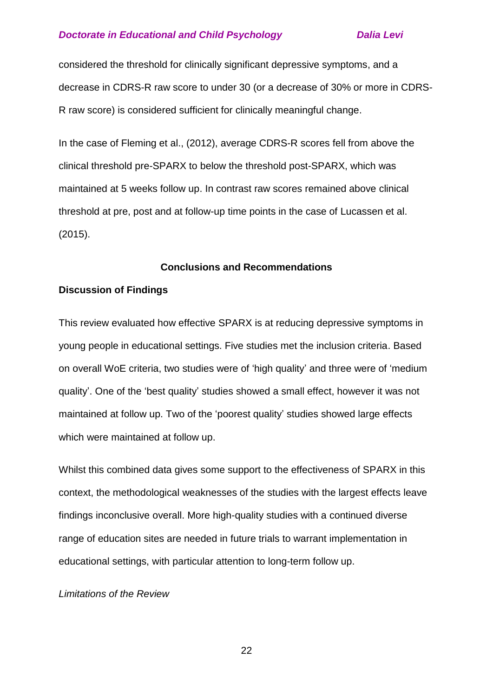considered the threshold for clinically significant depressive symptoms, and a decrease in CDRS-R raw score to under 30 (or a decrease of 30% or more in CDRS-R raw score) is considered sufficient for clinically meaningful change.

In the case of Fleming et al., (2012), average CDRS-R scores fell from above the clinical threshold pre-SPARX to below the threshold post-SPARX, which was maintained at 5 weeks follow up. In contrast raw scores remained above clinical threshold at pre, post and at follow-up time points in the case of Lucassen et al. (2015).

#### **Conclusions and Recommendations**

### **Discussion of Findings**

This review evaluated how effective SPARX is at reducing depressive symptoms in young people in educational settings. Five studies met the inclusion criteria. Based on overall WoE criteria, two studies were of 'high quality' and three were of 'medium quality'. One of the 'best quality' studies showed a small effect, however it was not maintained at follow up. Two of the 'poorest quality' studies showed large effects which were maintained at follow up.

Whilst this combined data gives some support to the effectiveness of SPARX in this context, the methodological weaknesses of the studies with the largest effects leave findings inconclusive overall. More high-quality studies with a continued diverse range of education sites are needed in future trials to warrant implementation in educational settings, with particular attention to long-term follow up.

## *Limitations of the Review*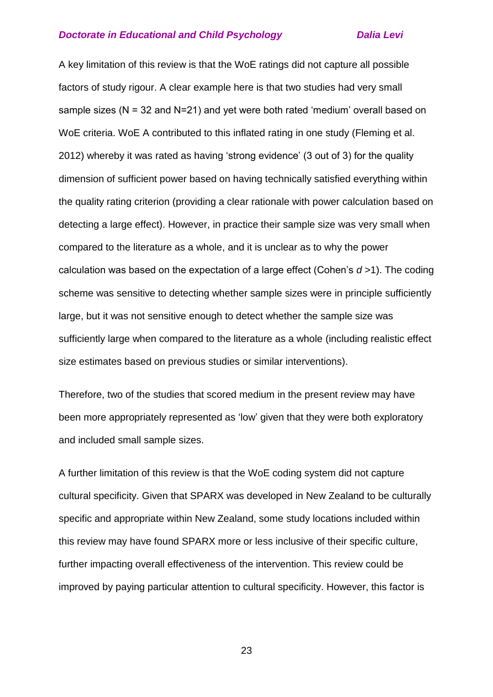A key limitation of this review is that the WoE ratings did not capture all possible factors of study rigour. A clear example here is that two studies had very small sample sizes (N = 32 and N=21) and yet were both rated 'medium' overall based on WoE criteria. WoE A contributed to this inflated rating in one study (Fleming et al. 2012) whereby it was rated as having 'strong evidence' (3 out of 3) for the quality dimension of sufficient power based on having technically satisfied everything within the quality rating criterion (providing a clear rationale with power calculation based on detecting a large effect). However, in practice their sample size was very small when compared to the literature as a whole, and it is unclear as to why the power calculation was based on the expectation of a large effect (Cohen's *d* >1). The coding scheme was sensitive to detecting whether sample sizes were in principle sufficiently large, but it was not sensitive enough to detect whether the sample size was sufficiently large when compared to the literature as a whole (including realistic effect size estimates based on previous studies or similar interventions).

Therefore, two of the studies that scored medium in the present review may have been more appropriately represented as 'low' given that they were both exploratory and included small sample sizes.

A further limitation of this review is that the WoE coding system did not capture cultural specificity. Given that SPARX was developed in New Zealand to be culturally specific and appropriate within New Zealand, some study locations included within this review may have found SPARX more or less inclusive of their specific culture, further impacting overall effectiveness of the intervention. This review could be improved by paying particular attention to cultural specificity. However, this factor is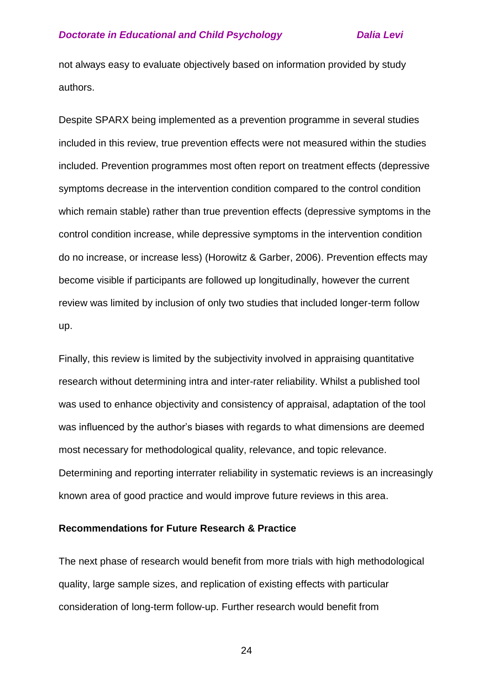not always easy to evaluate objectively based on information provided by study authors.

Despite SPARX being implemented as a prevention programme in several studies included in this review, true prevention effects were not measured within the studies included. Prevention programmes most often report on treatment effects (depressive symptoms decrease in the intervention condition compared to the control condition which remain stable) rather than true prevention effects (depressive symptoms in the control condition increase, while depressive symptoms in the intervention condition do no increase, or increase less) (Horowitz & Garber, 2006). Prevention effects may become visible if participants are followed up longitudinally, however the current review was limited by inclusion of only two studies that included longer-term follow up.

Finally, this review is limited by the subjectivity involved in appraising quantitative research without determining intra and inter-rater reliability. Whilst a published tool was used to enhance objectivity and consistency of appraisal, adaptation of the tool was influenced by the author's biases with regards to what dimensions are deemed most necessary for methodological quality, relevance, and topic relevance. Determining and reporting interrater reliability in systematic reviews is an increasingly known area of good practice and would improve future reviews in this area.

#### **Recommendations for Future Research & Practice**

The next phase of research would benefit from more trials with high methodological quality, large sample sizes, and replication of existing effects with particular consideration of long-term follow-up. Further research would benefit from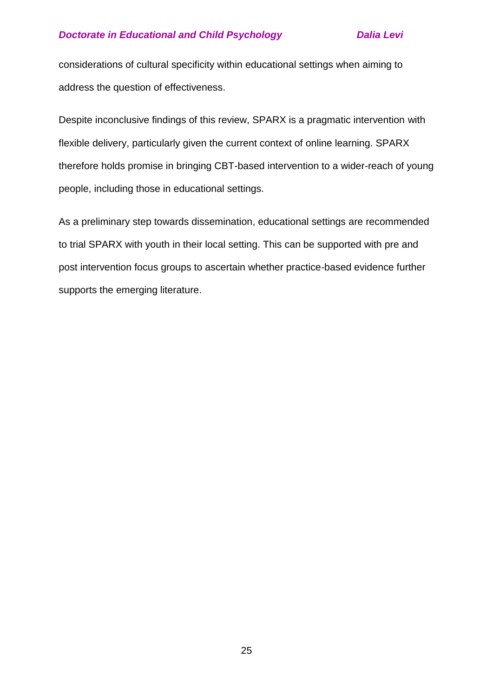considerations of cultural specificity within educational settings when aiming to address the question of effectiveness.

Despite inconclusive findings of this review, SPARX is a pragmatic intervention with flexible delivery, particularly given the current context of online learning. SPARX therefore holds promise in bringing CBT-based intervention to a wider-reach of young people, including those in educational settings.

As a preliminary step towards dissemination, educational settings are recommended to trial SPARX with youth in their local setting. This can be supported with pre and post intervention focus groups to ascertain whether practice-based evidence further supports the emerging literature.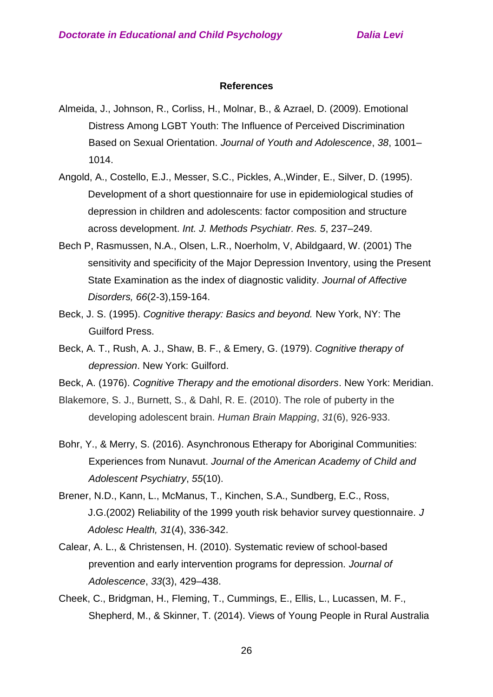#### **References**

- Almeida, J., Johnson, R., Corliss, H., Molnar, B., & Azrael, D. (2009). Emotional Distress Among LGBT Youth: The Influence of Perceived Discrimination Based on Sexual Orientation. *Journal of Youth and Adolescence*, *38*, 1001– 1014.
- Angold, A., Costello, E.J., Messer, S.C., Pickles, A.,Winder, E., Silver, D. (1995). Development of a short questionnaire for use in epidemiological studies of depression in children and adolescents: factor composition and structure across development. *Int. J. Methods Psychiatr. Res. 5*, 237–249.
- Bech P, Rasmussen, N.A., Olsen, L.R., Noerholm, V, Abildgaard, W. (2001) The sensitivity and specificity of the Major Depression Inventory, using the Present State Examination as the index of diagnostic validity. *Journal of Affective Disorders, 66*(2-3),159-164.
- Beck, J. S. (1995). *Cognitive therapy: Basics and beyond.* New York, NY: The Guilford Press.
- Beck, A. T., Rush, A. J., Shaw, B. F., & Emery, G. (1979). *Cognitive therapy of depression*. New York: Guilford.
- Beck, A. (1976). *Cognitive Therapy and the emotional disorders*. New York: Meridian.
- Blakemore, S. J., Burnett, S., & Dahl, R. E. (2010). The role of puberty in the developing adolescent brain. *Human Brain Mapping*, *31*(6), 926-933.
- Bohr, Y., & Merry, S. (2016). Asynchronous Etherapy for Aboriginal Communities: Experiences from Nunavut. *Journal of the American Academy of Child and Adolescent Psychiatry*, *55*(10).
- Brener, N.D., Kann, L., McManus, T., Kinchen, S.A., Sundberg, E.C., Ross, J.G.(2002) Reliability of the 1999 youth risk behavior survey questionnaire*. J Adolesc Health, 31*(4), 336-342.
- Calear, A. L., & Christensen, H. (2010). Systematic review of school-based prevention and early intervention programs for depression. *Journal of Adolescence*, *33*(3), 429–438.
- Cheek, C., Bridgman, H., Fleming, T., Cummings, E., Ellis, L., Lucassen, M. F., Shepherd, M., & Skinner, T. (2014). Views of Young People in Rural Australia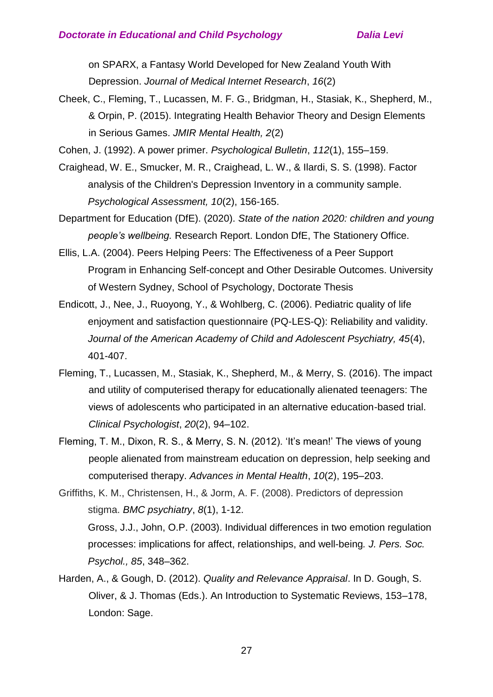on SPARX, a Fantasy World Developed for New Zealand Youth With Depression. *Journal of Medical Internet Research*, *16*(2)

- Cheek, C., Fleming, T., Lucassen, M. F. G., Bridgman, H., Stasiak, K., Shepherd, M., & Orpin, P. (2015). Integrating Health Behavior Theory and Design Elements in Serious Games. *JMIR Mental Health, 2*(2)
- Cohen, J. (1992). A power primer. *Psychological Bulletin*, *112*(1), 155–159.
- Craighead, W. E., Smucker, M. R., Craighead, L. W., & Ilardi, S. S. (1998). Factor analysis of the Children's Depression Inventory in a community sample. *Psychological Assessment, 10*(2), 156-165.
- Department for Education (DfE). (2020). *State of the nation 2020: children and young people's wellbeing.* Research Report. London DfE, The Stationery Office.
- Ellis, L.A. (2004). Peers Helping Peers: The Effectiveness of a Peer Support Program in Enhancing Self-concept and Other Desirable Outcomes. University of Western Sydney, School of Psychology, Doctorate Thesis
- Endicott, J., Nee, J., Ruoyong, Y., & Wohlberg, C. (2006). Pediatric quality of life enjoyment and satisfaction questionnaire (PQ-LES-Q): Reliability and validity. *Journal of the American Academy of Child and Adolescent Psychiatry, 45*(4), 401-407.
- Fleming, T., Lucassen, M., Stasiak, K., Shepherd, M., & Merry, S. (2016). The impact and utility of computerised therapy for educationally alienated teenagers: The views of adolescents who participated in an alternative education-based trial. *Clinical Psychologist*, *20*(2), 94–102.
- Fleming, T. M., Dixon, R. S., & Merry, S. N. (2012). 'It's mean!' The views of young people alienated from mainstream education on depression, help seeking and computerised therapy. *Advances in Mental Health*, *10*(2), 195–203.
- Griffiths, K. M., Christensen, H., & Jorm, A. F. (2008). Predictors of depression stigma. *BMC psychiatry*, *8*(1), 1-12. Gross, J.J., John, O.P. (2003). Individual differences in two emotion regulation processes: implications for affect, relationships, and well-being*. J. Pers. Soc. Psychol., 85*, 348–362.
- Harden, A., & Gough, D. (2012). *Quality and Relevance Appraisal*. In D. Gough, S. Oliver, & J. Thomas (Eds.). An Introduction to Systematic Reviews, 153–178, London: Sage.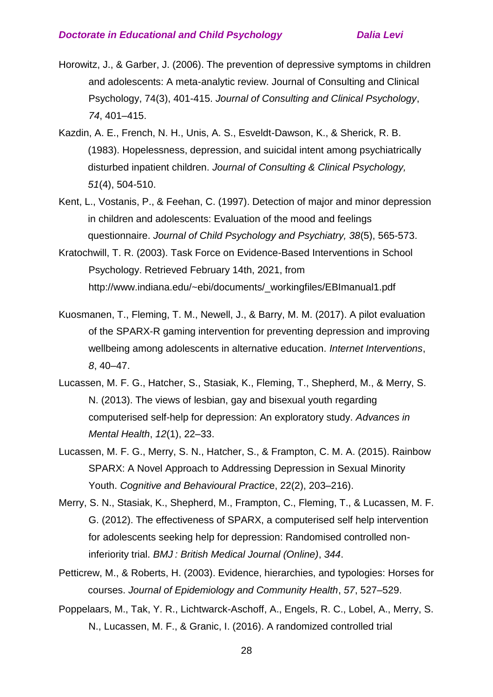- Horowitz, J., & Garber, J. (2006). The prevention of depressive symptoms in children and adolescents: A meta-analytic review. Journal of Consulting and Clinical Psychology, 74(3), 401-415. *Journal of Consulting and Clinical Psychology*, *74*, 401–415.
- Kazdin, A. E., French, N. H., Unis, A. S., Esveldt-Dawson, K., & Sherick, R. B. (1983). Hopelessness, depression, and suicidal intent among psychiatrically disturbed inpatient children. *Journal of Consulting & Clinical Psychology, 51*(4), 504-510.
- Kent, L., Vostanis, P., & Feehan, C. (1997). Detection of major and minor depression in children and adolescents: Evaluation of the mood and feelings questionnaire. *Journal of Child Psychology and Psychiatry, 38*(5), 565-573.
- Kratochwill, T. R. (2003). Task Force on Evidence-Based Interventions in School Psychology. Retrieved February 14th, 2021, from [http://www.indiana.edu/~ebi/documents/\\_workingfiles/EBImanual1.pdf](http://www.indiana.edu/~ebi/documents/_workingfiles/EBImanual1.pdf)
- Kuosmanen, T., Fleming, T. M., Newell, J., & Barry, M. M. (2017). A pilot evaluation of the SPARX-R gaming intervention for preventing depression and improving wellbeing among adolescents in alternative education. *Internet Interventions*, *8*, 40–47.
- Lucassen, M. F. G., Hatcher, S., Stasiak, K., Fleming, T., Shepherd, M., & Merry, S. N. (2013). The views of lesbian, gay and bisexual youth regarding computerised self-help for depression: An exploratory study. *Advances in Mental Health*, *12*(1), 22–33.
- Lucassen, M. F. G., Merry, S. N., Hatcher, S., & Frampton, C. M. A. (2015). Rainbow SPARX: A Novel Approach to Addressing Depression in Sexual Minority Youth. *Cognitive and Behavioural Practic*e, 22(2), 203–216).
- Merry, S. N., Stasiak, K., Shepherd, M., Frampton, C., Fleming, T., & Lucassen, M. F. G. (2012). The effectiveness of SPARX, a computerised self help intervention for adolescents seeking help for depression: Randomised controlled noninferiority trial. *BMJ : British Medical Journal (Online)*, *344*.
- Petticrew, M., & Roberts, H. (2003). Evidence, hierarchies, and typologies: Horses for courses. *Journal of Epidemiology and Community Health*, *57*, 527–529.
- Poppelaars, M., Tak, Y. R., Lichtwarck-Aschoff, A., Engels, R. C., Lobel, A., Merry, S. N., Lucassen, M. F., & Granic, I. (2016). A randomized controlled trial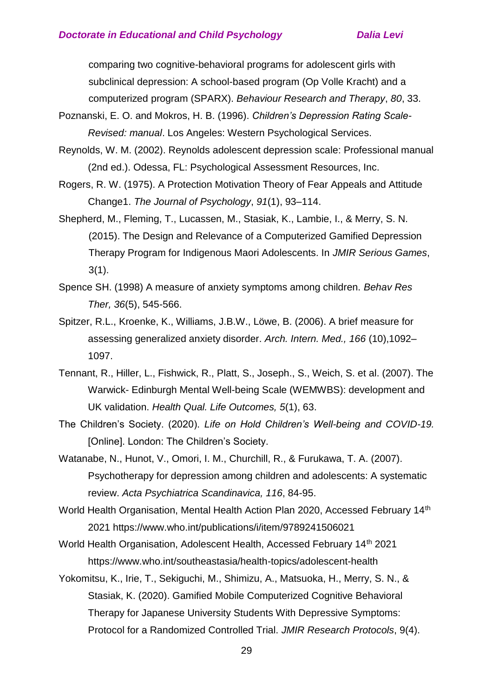comparing two cognitive-behavioral programs for adolescent girls with subclinical depression: A school-based program (Op Volle Kracht) and a computerized program (SPARX). *Behaviour Research and Therapy*, *80*, 33.

- Poznanski, E. O. and Mokros, H. B. (1996). *Children's Depression Rating Scale-Revised: manual*. Los Angeles: Western Psychological Services.
- Reynolds, W. M. (2002). Reynolds adolescent depression scale: Professional manual (2nd ed.). Odessa, FL: Psychological Assessment Resources, Inc.
- Rogers, R. W. (1975). A Protection Motivation Theory of Fear Appeals and Attitude Change1. *The Journal of Psychology*, *91*(1), 93–114.
- Shepherd, M., Fleming, T., Lucassen, M., Stasiak, K., Lambie, I., & Merry, S. N. (2015). The Design and Relevance of a Computerized Gamified Depression Therapy Program for Indigenous Maori Adolescents. In *JMIR Serious Games*, 3(1).
- Spence SH. (1998) A measure of anxiety symptoms among children. *Behav Res Ther, 36*(5), 545-566.
- Spitzer, R.L., Kroenke, K., Williams, J.B.W., Löwe, B. (2006). A brief measure for assessing generalized anxiety disorder. *Arch. Intern. Med., 166* (10),1092– 1097.
- Tennant, R., Hiller, L., Fishwick, R., Platt, S., Joseph., S., Weich, S. et al. (2007). The Warwick- Edinburgh Mental Well-being Scale (WEMWBS): development and UK validation. *Health Qual. Life Outcomes, 5*(1), 63.
- The Children's Society. (2020). *Life on Hold Children's Well-being and COVID-19.*  [Online]. London: The Children's Society.
- Watanabe, N., Hunot, V., Omori, I. M., Churchill, R., & Furukawa, T. A. (2007). Psychotherapy for depression among children and adolescents: A systematic review. *Acta Psychiatrica Scandinavica, 116*, 84-95.
- World Health Organisation, Mental Health Action Plan 2020, Accessed February 14th 2021 https://www.who.int/publications/i/item/9789241506021
- World Health Organisation, Adolescent Health, Accessed February 14<sup>th</sup> 2021 https://www.who.int/southeastasia/health-topics/adolescent-health
- Yokomitsu, K., Irie, T., Sekiguchi, M., Shimizu, A., Matsuoka, H., Merry, S. N., & Stasiak, K. (2020). Gamified Mobile Computerized Cognitive Behavioral Therapy for Japanese University Students With Depressive Symptoms: Protocol for a Randomized Controlled Trial. *JMIR Research Protocols*, 9(4).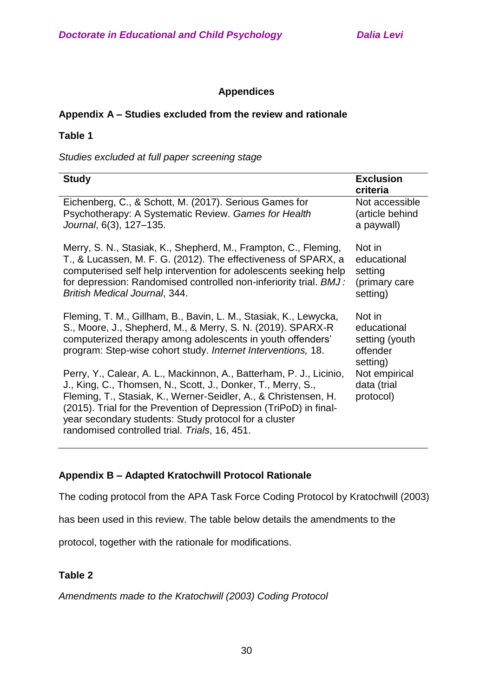# **Appendices**

### **Appendix A – Studies excluded from the review and rationale**

### **Table 1**

*Studies excluded at full paper screening stage*

| <b>Study</b>                                                                                                                                                                                                                                                                                                                                                                          | <b>Exclusion</b><br>criteria                                    |
|---------------------------------------------------------------------------------------------------------------------------------------------------------------------------------------------------------------------------------------------------------------------------------------------------------------------------------------------------------------------------------------|-----------------------------------------------------------------|
| Eichenberg, C., & Schott, M. (2017). Serious Games for<br>Psychotherapy: A Systematic Review. Games for Health<br>Journal, 6(3), 127-135.                                                                                                                                                                                                                                             | Not accessible<br>(article behind<br>a paywall)                 |
| Merry, S. N., Stasiak, K., Shepherd, M., Frampton, C., Fleming,<br>T., & Lucassen, M. F. G. (2012). The effectiveness of SPARX, a<br>computerised self help intervention for adolescents seeking help<br>for depression: Randomised controlled non-inferiority trial. BMJ:<br><b>British Medical Journal, 344.</b>                                                                    | Not in<br>educational<br>setting<br>(primary care<br>setting)   |
| Fleming, T. M., Gillham, B., Bavin, L. M., Stasiak, K., Lewycka,<br>S., Moore, J., Shepherd, M., & Merry, S. N. (2019). SPARX-R<br>computerized therapy among adolescents in youth offenders'<br>program: Step-wise cohort study. Internet Interventions, 18.                                                                                                                         | Not in<br>educational<br>setting (youth<br>offender<br>setting) |
| Perry, Y., Calear, A. L., Mackinnon, A., Batterham, P. J., Licinio,<br>J., King, C., Thomsen, N., Scott, J., Donker, T., Merry, S.,<br>Fleming, T., Stasiak, K., Werner-Seidler, A., & Christensen, H.<br>(2015). Trial for the Prevention of Depression (TriPoD) in final-<br>year secondary students: Study protocol for a cluster<br>randomised controlled trial. Trials, 16, 451. | Not empirical<br>data (trial<br>protocol)                       |

# **Appendix B – Adapted Kratochwill Protocol Rationale**

The coding protocol from the APA Task Force Coding Protocol by Kratochwill (2003)

has been used in this review. The table below details the amendments to the

protocol, together with the rationale for modifications.

# **Table 2**

*Amendments made to the Kratochwill (2003) Coding Protocol*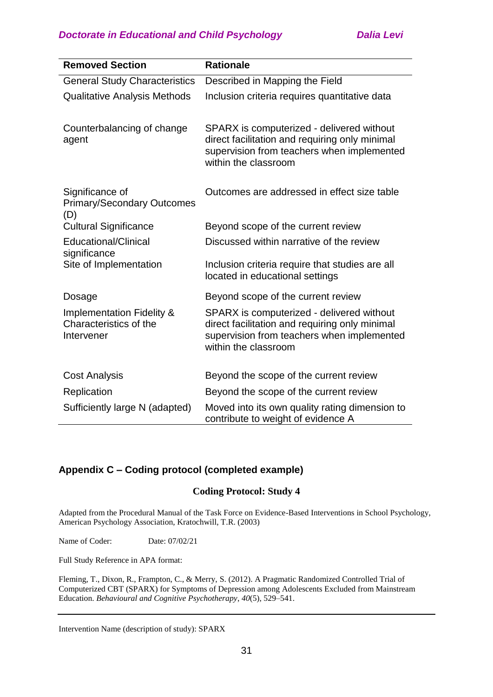| <b>Removed Section</b>                                                       | <b>Rationale</b>                                                                                                                                                  |
|------------------------------------------------------------------------------|-------------------------------------------------------------------------------------------------------------------------------------------------------------------|
| <b>General Study Characteristics</b>                                         | Described in Mapping the Field                                                                                                                                    |
| <b>Qualitative Analysis Methods</b>                                          | Inclusion criteria requires quantitative data                                                                                                                     |
| Counterbalancing of change<br>agent                                          | SPARX is computerized - delivered without<br>direct facilitation and requiring only minimal<br>supervision from teachers when implemented<br>within the classroom |
| Significance of<br><b>Primary/Secondary Outcomes</b><br>(D)                  | Outcomes are addressed in effect size table                                                                                                                       |
| <b>Cultural Significance</b>                                                 | Beyond scope of the current review                                                                                                                                |
| Educational/Clinical<br>significance                                         | Discussed within narrative of the review                                                                                                                          |
| Site of Implementation                                                       | Inclusion criteria require that studies are all<br>located in educational settings                                                                                |
| Dosage                                                                       | Beyond scope of the current review                                                                                                                                |
| <b>Implementation Fidelity &amp;</b><br>Characteristics of the<br>Intervener | SPARX is computerized - delivered without<br>direct facilitation and requiring only minimal<br>supervision from teachers when implemented<br>within the classroom |
| <b>Cost Analysis</b>                                                         | Beyond the scope of the current review                                                                                                                            |
| Replication                                                                  | Beyond the scope of the current review                                                                                                                            |
| Sufficiently large N (adapted)                                               | Moved into its own quality rating dimension to<br>contribute to weight of evidence A                                                                              |

# **Appendix C – Coding protocol (completed example)**

#### **Coding Protocol: Study 4**

Adapted from the Procedural Manual of the Task Force on Evidence-Based Interventions in School Psychology, American Psychology Association, Kratochwill, T.R. (2003)

Name of Coder: Date: 07/02/21

Full Study Reference in APA format:

Fleming, T., Dixon, R., Frampton, C., & Merry, S. (2012). A Pragmatic Randomized Controlled Trial of Computerized CBT (SPARX) for Symptoms of Depression among Adolescents Excluded from Mainstream Education. *Behavioural and Cognitive Psychotherapy*, *40*(5), 529–541.

Intervention Name (description of study): SPARX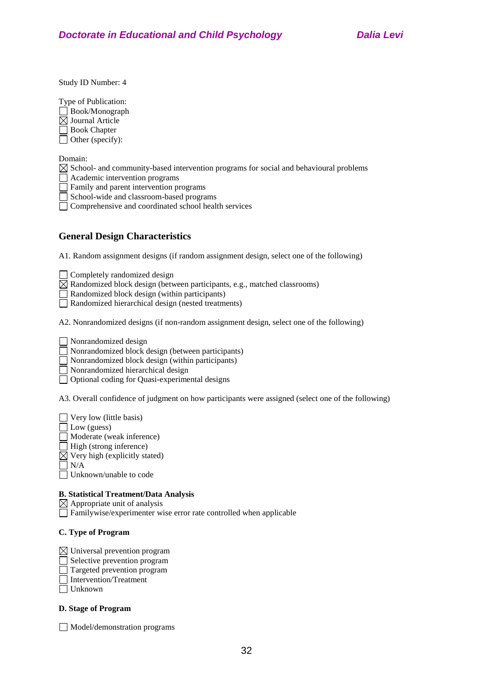Study ID Number: 4

Type of Publication: Book/Monograph  $\boxtimes$  Journal Article

Book Chapter

 $\Box$  Other (specify):

Domain:

 $\boxtimes$  School- and community-based intervention programs for social and behavioural problems

 $\Box$  Academic intervention programs

Family and parent intervention programs

School-wide and classroom-based programs

Comprehensive and coordinated school health services

# **General Design Characteristics**

A1. Random assignment designs (if random assignment design, select one of the following)

Completely randomized design

 $\boxtimes$  Randomized block design (between participants, e.g., matched classrooms)

Randomized block design (within participants)

Randomized hierarchical design (nested treatments)

A2. Nonrandomized designs (if non-random assignment design, select one of the following)

Nonrandomized design

Nonrandomized block design (between participants)

 $\Box$  Nonrandomized block design (within participants)

Nonrandomized hierarchical design

□ Optional coding for Quasi-experimental designs

A3. Overall confidence of judgment on how participants were assigned (select one of the following)

 $\Box$  Very low (little basis)  $\Box$  Low (guess) Moderate (weak inference) High (strong inference)  $\boxtimes$  Very high (explicitly stated)  $\Box$  N/A Unknown/unable to code

#### **B. Statistical Treatment/Data Analysis**

 $\boxtimes$  Appropriate unit of analysis

Familywise/experimenter wise error rate controlled when applicable

#### **C. Type of Program**

 $\boxtimes$  Universal prevention program

Selective prevention program

Targeted prevention program

Intervention/Treatment

Unknown

#### **D. Stage of Program**

Model/demonstration programs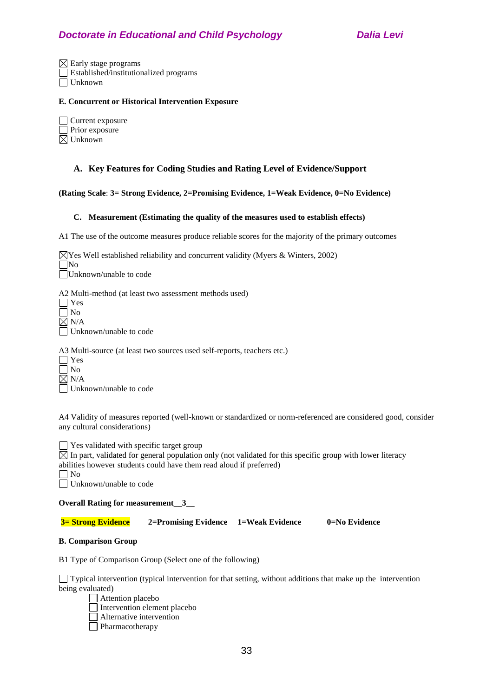$\boxtimes$  Early stage programs Established/institutionalized programs Unknown

#### **E. Concurrent or Historical Intervention Exposure**

| Current exposure      |
|-----------------------|
| $\Box$ Prior exposure |
| $\boxtimes$ Unknown   |

#### **A. Key Features for Coding Studies and Rating Level of Evidence/Support**

#### **(Rating Scale**: **3= Strong Evidence, 2=Promising Evidence, 1=Weak Evidence, 0=No Evidence)**

#### **C. Measurement (Estimating the quality of the measures used to establish effects)**

A1 The use of the outcome measures produce reliable scores for the majority of the primary outcomes

 $\boxtimes$  Yes Well established reliability and concurrent validity (Myers & Winters, 2002) No Unknown/unable to code

A2 Multi-method (at least two assessment methods used)

| $\Box$ Yes               |
|--------------------------|
| $\Box$ No                |
| $\boxtimes$ N/A          |
| □ Unknown/unable to code |

A3 Multi-source (at least two sources used self-reports, teachers etc.)

|   | es            |
|---|---------------|
| L | $\Omega$<br>н |
|   | N/A           |
|   | بر<br>ĺ۳<br>ш |

Unknown/unable to code

A4 Validity of measures reported (well-known or standardized or norm-referenced are considered good, consider any cultural considerations)

 $\Box$  Yes validated with specific target group

 $\boxtimes$  In part, validated for general population only (not validated for this specific group with lower literacy

abilities however students could have them read aloud if preferred)

| ۰, |
|----|
|    |

□ Unknown/unable to code

#### **Overall Rating for measurement\_\_3\_\_**

**3= Strong Evidence 2=Promising Evidence 1=Weak Evidence 0=No Evidence**

#### **B. Comparison Group**

B1 Type of Comparison Group (Select one of the following)

 $\Box$  Typical intervention (typical intervention for that setting, without additions that make up the intervention being evaluated)

Attention placebo Intervention element placebo Alternative intervention

**Pharmacotherapy**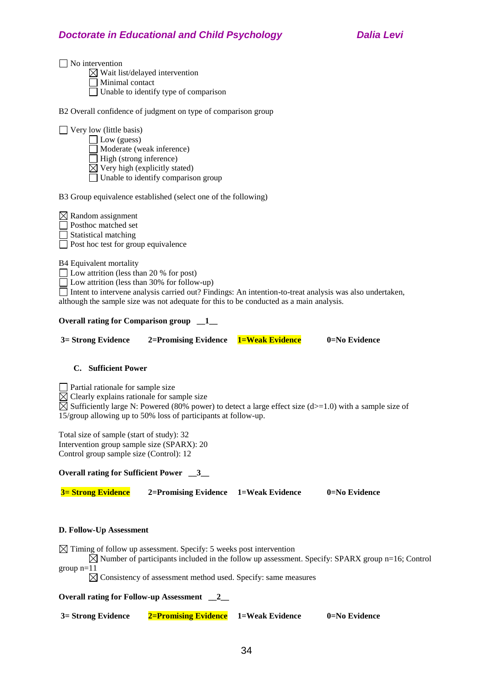$\boxtimes$  Wait list/delayed intervention

Minimal contact

Unable to identify type of comparison

B2 Overall confidence of judgment on type of comparison group

| $\Box$ Very low (little basis) |
|--------------------------------|
| $\Box$ Low (guess)             |
| Moderate (weak inference)      |

 $\Box$  High (strong inference)

 $\overline{\boxtimes}$  Very high (explicitly stated)

 $\Box$  Unable to identify comparison group

B3 Group equivalence established (select one of the following)

 $\boxtimes$  Random assignment □ Posthoc matched set Statistical matching Post hoc test for group equivalence

B4 Equivalent mortality

 $\Box$  Low attrition (less than 20 % for post)

Low attrition (less than 30% for follow-up)

Intent to intervene analysis carried out? Findings: An intention-to-treat analysis was also undertaken, although the sample size was not adequate for this to be conducted as a main analysis.

#### **Overall rating for Comparison group \_\_1\_\_**

| 0=No Evidence<br>3 = Strong Evidence<br>2=Promising Evidence 1=Weak Evidence |  |
|------------------------------------------------------------------------------|--|

#### **C. Sufficient Power**

 $\Box$  Partial rationale for sample size

 $\boxtimes$  Clearly explains rationale for sample size

 $\boxtimes$  Sufficiently large N: Powered (80% power) to detect a large effect size (d>=1.0) with a sample size of 15/group allowing up to 50% loss of participants at follow-up.

Total size of sample (start of study): 32 Intervention group sample size (SPARX): 20 Control group sample size (Control): 12

**Overall rating for Sufficient Power \_\_3\_\_**

**3= Strong Evidence 2=Promising Evidence 1=Weak Evidence 0=No Evidence**

#### **D. Follow-Up Assessment**

 $\boxtimes$  Timing of follow up assessment. Specify: 5 weeks post intervention

 $\boxtimes$  Number of participants included in the follow up assessment. Specify: SPARX group n=16; Control group  $n=11$ 

 $\boxtimes$  Consistency of assessment method used. Specify: same measures

**Overall rating for Follow-up Assessment \_\_2\_\_**

| 3= Strong Evidence | <b>2=Promising Evidence</b> 1=Weak Evidence |  | $0 = No$ Evidence |
|--------------------|---------------------------------------------|--|-------------------|
|--------------------|---------------------------------------------|--|-------------------|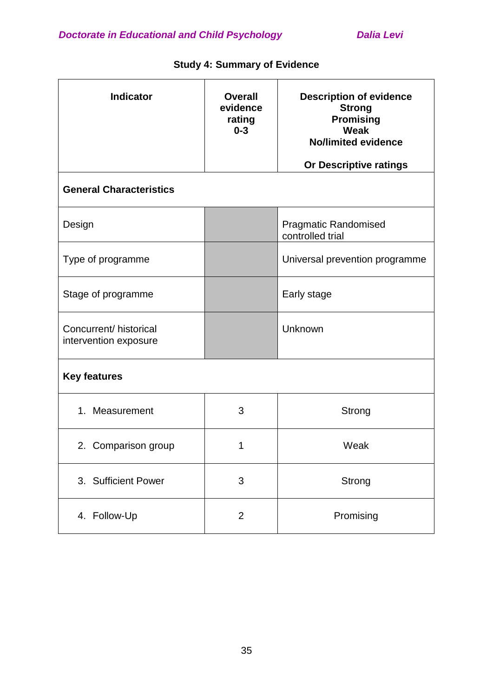| <b>Indicator</b>                                | <b>Overall</b><br>evidence<br>rating<br>$0 - 3$ | <b>Description of evidence</b><br><b>Strong</b><br><b>Promising</b><br>Weak<br><b>No/limited evidence</b><br>Or Descriptive ratings |
|-------------------------------------------------|-------------------------------------------------|-------------------------------------------------------------------------------------------------------------------------------------|
| <b>General Characteristics</b>                  |                                                 |                                                                                                                                     |
| Design                                          |                                                 | <b>Pragmatic Randomised</b><br>controlled trial                                                                                     |
| Type of programme                               |                                                 | Universal prevention programme                                                                                                      |
| Stage of programme                              |                                                 | Early stage                                                                                                                         |
| Concurrent/ historical<br>intervention exposure |                                                 | Unknown                                                                                                                             |
| <b>Key features</b>                             |                                                 |                                                                                                                                     |
| 1. Measurement                                  | 3                                               | Strong                                                                                                                              |
| 2. Comparison group                             | 1                                               | Weak                                                                                                                                |
| 3. Sufficient Power                             | 3                                               | Strong                                                                                                                              |
| 4. Follow-Up                                    | $\overline{2}$                                  | Promising                                                                                                                           |

# **Study 4: Summary of Evidence**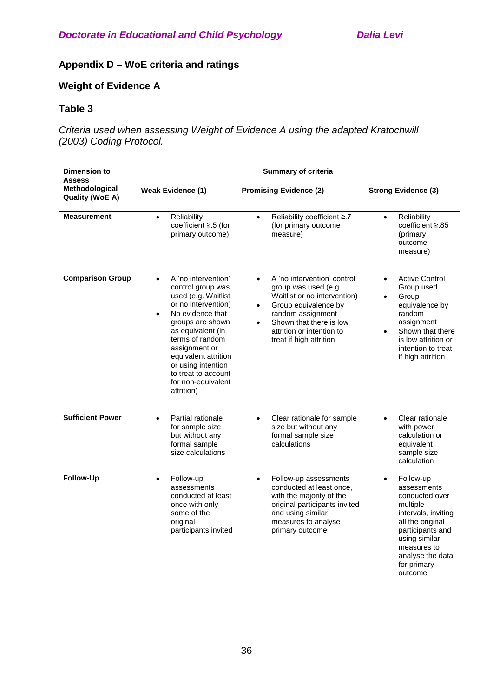for primary outcome

# **Appendix D – WoE criteria and ratings**

# **Weight of Evidence A**

# **Table 3**

*Criteria used when assessing Weight of Evidence A using the adapted Kratochwill (2003) Coding Protocol.*

| <b>Dimension to</b><br>Assess            | <b>Summary of criteria</b>                                                                                                                                                                                                                                                                                    |                                                                                                                                                                                                                                                            |                                                                                                                                                                                        |
|------------------------------------------|---------------------------------------------------------------------------------------------------------------------------------------------------------------------------------------------------------------------------------------------------------------------------------------------------------------|------------------------------------------------------------------------------------------------------------------------------------------------------------------------------------------------------------------------------------------------------------|----------------------------------------------------------------------------------------------------------------------------------------------------------------------------------------|
| Methodological<br><b>Quality (WoE A)</b> | <b>Weak Evidence (1)</b>                                                                                                                                                                                                                                                                                      | <b>Promising Evidence (2)</b>                                                                                                                                                                                                                              | <b>Strong Evidence (3)</b>                                                                                                                                                             |
| <b>Measurement</b>                       | Reliability<br>$\bullet$<br>coefficient ≥.5 (for<br>primary outcome)                                                                                                                                                                                                                                          | Reliability coefficient ≥.7<br>$\bullet$<br>(for primary outcome<br>measure)                                                                                                                                                                               | Reliability<br>$\bullet$<br>coefficient ≥.85<br>(primary<br>outcome<br>measure)                                                                                                        |
| <b>Comparison Group</b>                  | A 'no intervention'<br>control group was<br>used (e.g. Waitlist<br>or no intervention)<br>No evidence that<br>$\bullet$<br>groups are shown<br>as equivalent (in<br>terms of random<br>assignment or<br>equivalent attrition<br>or using intention<br>to treat to account<br>for non-equivalent<br>attrition) | A 'no intervention' control<br>$\bullet$<br>group was used (e.g.<br>Waitlist or no intervention)<br>Group equivalence by<br>$\bullet$<br>random assignment<br>Shown that there is low<br>$\bullet$<br>attrition or intention to<br>treat if high attrition | <b>Active Control</b><br>Group used<br>Group<br>equivalence by<br>random<br>assignment<br>Shown that there<br>is low attrition or<br>intention to treat<br>if high attrition           |
| <b>Sufficient Power</b>                  | Partial rationale<br>for sample size<br>but without any<br>formal sample<br>size calculations                                                                                                                                                                                                                 | Clear rationale for sample<br>size but without any<br>formal sample size<br>calculations                                                                                                                                                                   | Clear rationale<br>with power<br>calculation or<br>equivalent<br>sample size<br>calculation                                                                                            |
| <b>Follow-Up</b>                         | Follow-up<br>assessments<br>conducted at least<br>once with only<br>some of the<br>original<br>participants invited                                                                                                                                                                                           | Follow-up assessments<br>$\bullet$<br>conducted at least once,<br>with the majority of the<br>original participants invited<br>and using similar<br>measures to analyse<br>primary outcome                                                                 | Follow-up<br>$\bullet$<br>assessments<br>conducted over<br>multiple<br>intervals, inviting<br>all the original<br>participants and<br>using similar<br>measures to<br>analyse the data |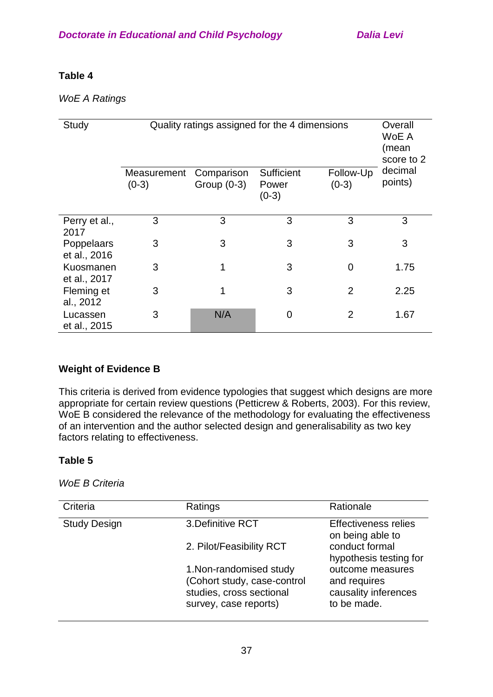# **Table 4**

# *WoE A Ratings*

| Study                      | Quality ratings assigned for the 4 dimensions |                             |                                | Overall<br>WoE A<br>(mean<br>score to 2 |                    |
|----------------------------|-----------------------------------------------|-----------------------------|--------------------------------|-----------------------------------------|--------------------|
|                            | Measurement<br>$(0-3)$                        | Comparison<br>Group $(0-3)$ | Sufficient<br>Power<br>$(0-3)$ | Follow-Up<br>$(0-3)$                    | decimal<br>points) |
| Perry et al.,<br>2017      | 3                                             | 3                           | 3                              | 3                                       | 3                  |
| Poppelaars<br>et al., 2016 | 3                                             | 3                           | 3                              | 3                                       | 3                  |
| Kuosmanen<br>et al., 2017  | 3                                             | 1                           | 3                              | 0                                       | 1.75               |
| Fleming et<br>al., 2012    | 3                                             | 1                           | 3                              | $\overline{2}$                          | 2.25               |
| Lucassen<br>et al., 2015   | 3                                             | N/A                         | 0                              | 2                                       | 1.67               |

# **Weight of Evidence B**

This criteria is derived from evidence typologies that suggest which designs are more appropriate for certain review questions (Petticrew & Roberts, 2003). For this review, WoE B considered the relevance of the methodology for evaluating the effectiveness of an intervention and the author selected design and generalisability as two key factors relating to effectiveness.

# **Table 5**

*WoE B Criteria*

| Criteria            | Ratings                                                                                                     | Rationale                                                               |
|---------------------|-------------------------------------------------------------------------------------------------------------|-------------------------------------------------------------------------|
| <b>Study Design</b> | 3. Definitive RCT                                                                                           | <b>Effectiveness relies</b><br>on being able to                         |
|                     | 2. Pilot/Feasibility RCT                                                                                    | conduct formal<br>hypothesis testing for                                |
|                     | 1. Non-randomised study<br>(Cohort study, case-control<br>studies, cross sectional<br>survey, case reports) | outcome measures<br>and requires<br>causality inferences<br>to be made. |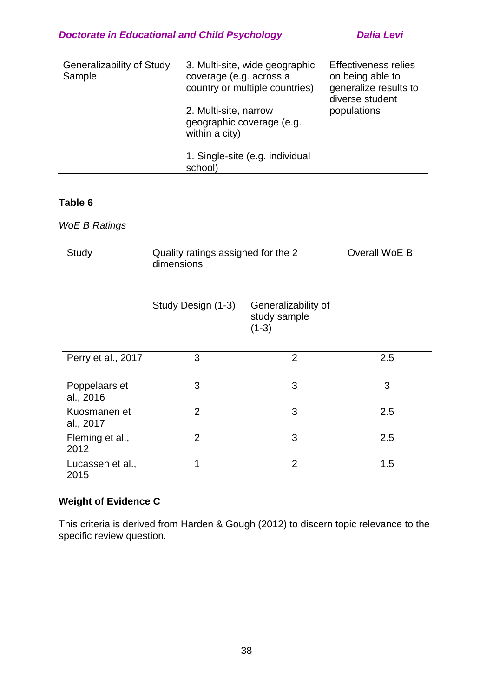| Generalizability of Study | 3. Multi-site, wide geographic                     | <b>Effectiveness relies</b>              |
|---------------------------|----------------------------------------------------|------------------------------------------|
| Sample                    | coverage (e.g. across a                            | on being able to                         |
|                           | country or multiple countries)                     | generalize results to<br>diverse student |
|                           | 2. Multi-site, narrow<br>geographic coverage (e.g. | populations                              |
|                           | within a city)                                     |                                          |
|                           | 1. Single-site (e.g. individual                    |                                          |
|                           | school)                                            |                                          |

### **Table 6**

# *WoE B Ratings*

| Study                      | Quality ratings assigned for the 2<br>dimensions | Overall WoE B                                  |     |
|----------------------------|--------------------------------------------------|------------------------------------------------|-----|
|                            | Study Design (1-3)                               | Generalizability of<br>study sample<br>$(1-3)$ |     |
| Perry et al., 2017         | 3                                                | $\overline{2}$                                 | 2.5 |
| Poppelaars et<br>al., 2016 | 3                                                | 3                                              | 3   |
| Kuosmanen et<br>al., 2017  | $\overline{2}$                                   | 3                                              | 2.5 |
| Fleming et al.,<br>2012    | $\overline{2}$                                   | 3                                              | 2.5 |
| Lucassen et al.,<br>2015   | 1                                                | $\overline{2}$                                 | 1.5 |

# **Weight of Evidence C**

This criteria is derived from Harden & Gough (2012) to discern topic relevance to the specific review question.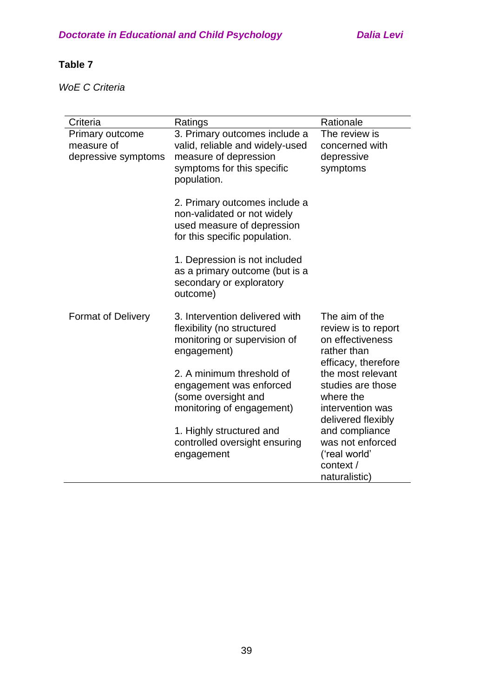# **Table 7**

*WoE C Criteria*

| Criteria                                             | Ratings                                                                                                                                | Rationale                                                                                       |
|------------------------------------------------------|----------------------------------------------------------------------------------------------------------------------------------------|-------------------------------------------------------------------------------------------------|
| Primary outcome<br>measure of<br>depressive symptoms | 3. Primary outcomes include a<br>valid, reliable and widely-used<br>measure of depression<br>symptoms for this specific<br>population. | The review is<br>concerned with<br>depressive<br>symptoms                                       |
|                                                      | 2. Primary outcomes include a<br>non-validated or not widely<br>used measure of depression<br>for this specific population.            |                                                                                                 |
|                                                      | 1. Depression is not included<br>as a primary outcome (but is a<br>secondary or exploratory<br>outcome)                                |                                                                                                 |
| <b>Format of Delivery</b>                            | 3. Intervention delivered with<br>flexibility (no structured<br>monitoring or supervision of<br>engagement)                            | The aim of the<br>review is to report<br>on effectiveness<br>rather than<br>efficacy, therefore |
|                                                      | 2. A minimum threshold of<br>engagement was enforced<br>(some oversight and<br>monitoring of engagement)                               | the most relevant<br>studies are those<br>where the<br>intervention was<br>delivered flexibly   |
|                                                      | 1. Highly structured and<br>controlled oversight ensuring<br>engagement                                                                | and compliance<br>was not enforced<br>('real world'<br>context /<br>naturalistic)               |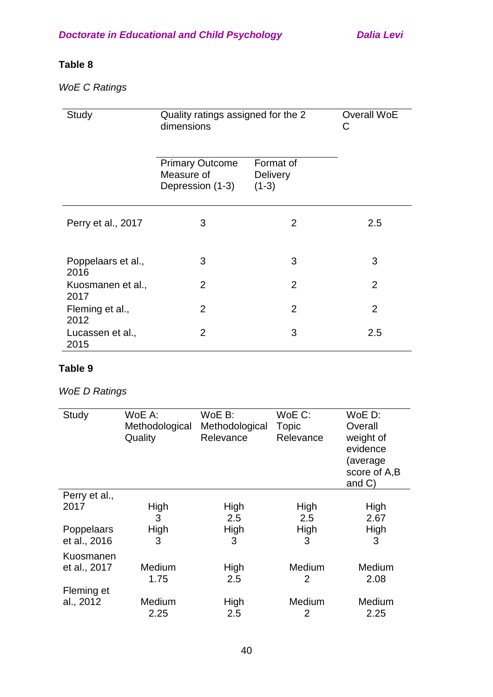# **Table 8**

*WoE C Ratings*

| Study                      | Quality ratings assigned for the 2<br>dimensions         | Overall WoE<br>С                        |                |
|----------------------------|----------------------------------------------------------|-----------------------------------------|----------------|
|                            | <b>Primary Outcome</b><br>Measure of<br>Depression (1-3) | Format of<br><b>Delivery</b><br>$(1-3)$ |                |
| Perry et al., 2017         | 3                                                        | $\overline{2}$                          | 2.5            |
| Poppelaars et al.,<br>2016 | 3                                                        | 3                                       | 3              |
| Kuosmanen et al.,<br>2017  | 2                                                        | $\overline{2}$                          | 2              |
| Fleming et al.,<br>2012    | $\overline{2}$                                           | $\overline{2}$                          | $\overline{2}$ |
| Lucassen et al.,<br>2015   | 2                                                        | 3                                       | 2.5            |

# **Table 9**

# *WoE D Ratings*

| Study         | WoE A:<br>Methodological<br>Quality | $WoE B$ :<br>Methodological<br>Relevance | WoE C:<br>Topic<br>Relevance | WoE D:<br>Overall<br>weight of<br>evidence<br>(average<br>score of A,B<br>and $C$ ) |
|---------------|-------------------------------------|------------------------------------------|------------------------------|-------------------------------------------------------------------------------------|
| Perry et al., |                                     |                                          |                              |                                                                                     |
| 2017          | High                                | High                                     | High                         | High                                                                                |
|               | 3                                   | 2.5                                      | 2.5                          | 2.67                                                                                |
| Poppelaars    | High                                | High                                     | High                         | High                                                                                |
| et al., 2016  | 3                                   | 3                                        | 3                            | 3                                                                                   |
| Kuosmanen     |                                     |                                          |                              |                                                                                     |
| et al., 2017  | Medium                              | High                                     | Medium                       | Medium                                                                              |
|               | 1.75                                | 2.5                                      | 2                            | 2.08                                                                                |
| Fleming et    |                                     |                                          |                              |                                                                                     |
| al., 2012     | Medium                              | High                                     | Medium                       | Medium                                                                              |
|               | 2.25                                | 2.5                                      | 2                            | 2.25                                                                                |